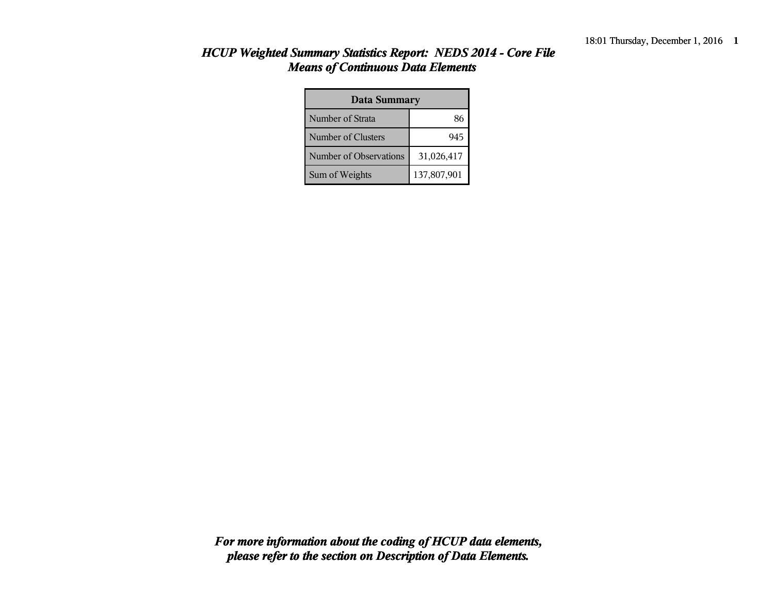| Data Summary           |             |  |  |  |
|------------------------|-------------|--|--|--|
| Number of Strata       | 86          |  |  |  |
| Number of Clusters     | 945         |  |  |  |
| Number of Observations | 31,026,417  |  |  |  |
| Sum of Weights         | 137,807,901 |  |  |  |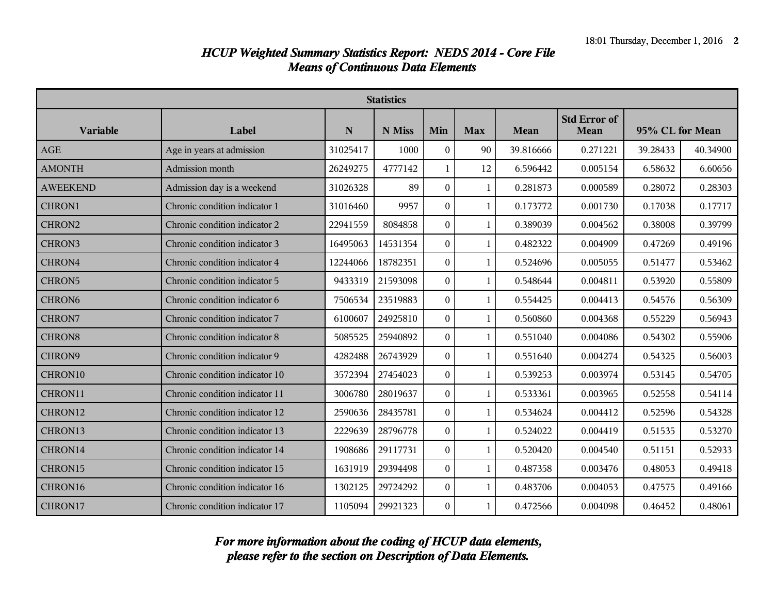|                    | <b>Statistics</b>              |          |          |                  |              |           |                             |                 |          |
|--------------------|--------------------------------|----------|----------|------------------|--------------|-----------|-----------------------------|-----------------|----------|
| <b>Variable</b>    | Label                          | N        | N Miss   | Min              | <b>Max</b>   | Mean      | <b>Std Error of</b><br>Mean | 95% CL for Mean |          |
| AGE                | Age in years at admission      | 31025417 | 1000     | $\theta$         | 90           | 39.816666 | 0.271221                    | 39.28433        | 40.34900 |
| <b>AMONTH</b>      | Admission month                | 26249275 | 4777142  | $\mathbf{1}$     | 12           | 6.596442  | 0.005154                    | 6.58632         | 6.60656  |
| <b>AWEEKEND</b>    | Admission day is a weekend     | 31026328 | 89       | $\Omega$         | $\mathbf{1}$ | 0.281873  | 0.000589                    | 0.28072         | 0.28303  |
| CHRON1             | Chronic condition indicator 1  | 31016460 | 9957     | $\mathbf{0}$     | $\mathbf{1}$ | 0.173772  | 0.001730                    | 0.17038         | 0.17717  |
| CHRON2             | Chronic condition indicator 2  | 22941559 | 8084858  | $\overline{0}$   | $\mathbf{1}$ | 0.389039  | 0.004562                    | 0.38008         | 0.39799  |
| CHRON3             | Chronic condition indicator 3  | 16495063 | 14531354 | $\theta$         | 1            | 0.482322  | 0.004909                    | 0.47269         | 0.49196  |
| CHRON4             | Chronic condition indicator 4  | 12244066 | 18782351 | $\boldsymbol{0}$ | 1            | 0.524696  | 0.005055                    | 0.51477         | 0.53462  |
| CHRON5             | Chronic condition indicator 5  | 9433319  | 21593098 | $\overline{0}$   | $\mathbf{1}$ | 0.548644  | 0.004811                    | 0.53920         | 0.55809  |
| CHRON <sub>6</sub> | Chronic condition indicator 6  | 7506534  | 23519883 | $\theta$         | $\mathbf{1}$ | 0.554425  | 0.004413                    | 0.54576         | 0.56309  |
| CHRON7             | Chronic condition indicator 7  | 6100607  | 24925810 | $\Omega$         | 1            | 0.560860  | 0.004368                    | 0.55229         | 0.56943  |
| <b>CHRON8</b>      | Chronic condition indicator 8  | 5085525  | 25940892 | $\mathbf{0}$     | $\mathbf{1}$ | 0.551040  | 0.004086                    | 0.54302         | 0.55906  |
| CHRON9             | Chronic condition indicator 9  | 4282488  | 26743929 | $\Omega$         | 1            | 0.551640  | 0.004274                    | 0.54325         | 0.56003  |
| CHRON10            | Chronic condition indicator 10 | 3572394  | 27454023 | $\theta$         | 1            | 0.539253  | 0.003974                    | 0.53145         | 0.54705  |
| CHRON11            | Chronic condition indicator 11 | 3006780  | 28019637 | $\boldsymbol{0}$ | 1            | 0.533361  | 0.003965                    | 0.52558         | 0.54114  |
| CHRON12            | Chronic condition indicator 12 | 2590636  | 28435781 | $\boldsymbol{0}$ | $\mathbf{1}$ | 0.534624  | 0.004412                    | 0.52596         | 0.54328  |
| CHRON13            | Chronic condition indicator 13 | 2229639  | 28796778 | $\Omega$         | $\mathbf{1}$ | 0.524022  | 0.004419                    | 0.51535         | 0.53270  |
| CHRON14            | Chronic condition indicator 14 | 1908686  | 29117731 | $\boldsymbol{0}$ | $\mathbf{1}$ | 0.520420  | 0.004540                    | 0.51151         | 0.52933  |
| CHRON15            | Chronic condition indicator 15 | 1631919  | 29394498 | $\boldsymbol{0}$ | $\mathbf{1}$ | 0.487358  | 0.003476                    | 0.48053         | 0.49418  |
| CHRON16            | Chronic condition indicator 16 | 1302125  | 29724292 | $\Omega$         | $\mathbf{1}$ | 0.483706  | 0.004053                    | 0.47575         | 0.49166  |
| CHRON17            | Chronic condition indicator 17 | 1105094  | 29921323 | $\overline{0}$   | $\mathbf{1}$ | 0.472566  | 0.004098                    | 0.46452         | 0.48061  |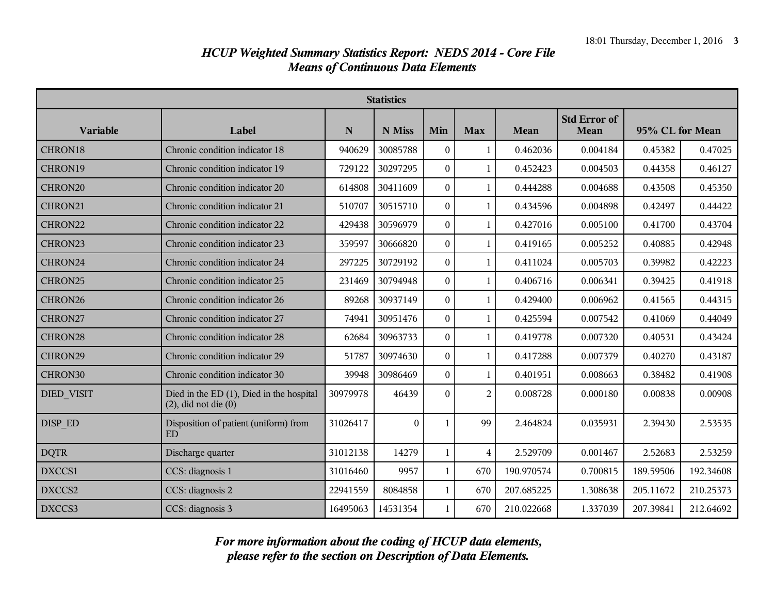|                   | <b>Statistics</b>                                                     |          |          |                  |                |            |                             |                 |           |
|-------------------|-----------------------------------------------------------------------|----------|----------|------------------|----------------|------------|-----------------------------|-----------------|-----------|
| <b>Variable</b>   | Label                                                                 | N        | N Miss   | Min              | <b>Max</b>     | Mean       | <b>Std Error of</b><br>Mean | 95% CL for Mean |           |
| CHRON18           | Chronic condition indicator 18                                        | 940629   | 30085788 | $\theta$         | $\mathbf{1}$   | 0.462036   | 0.004184                    | 0.45382         | 0.47025   |
| CHRON19           | Chronic condition indicator 19                                        | 729122   | 30297295 | $\theta$         | 1              | 0.452423   | 0.004503                    | 0.44358         | 0.46127   |
| CHRON20           | Chronic condition indicator 20                                        | 614808   | 30411609 | $\theta$         | 1              | 0.444288   | 0.004688                    | 0.43508         | 0.45350   |
| CHRON21           | Chronic condition indicator 21                                        | 510707   | 30515710 | $\theta$         | 1              | 0.434596   | 0.004898                    | 0.42497         | 0.44422   |
| CHRON22           | Chronic condition indicator 22                                        | 429438   | 30596979 | $\theta$         | $\mathbf{1}$   | 0.427016   | 0.005100                    | 0.41700         | 0.43704   |
| CHRON23           | Chronic condition indicator 23                                        | 359597   | 30666820 | $\theta$         | 1              | 0.419165   | 0.005252                    | 0.40885         | 0.42948   |
| CHRON24           | Chronic condition indicator 24                                        | 297225   | 30729192 | $\Omega$         | 1              | 0.411024   | 0.005703                    | 0.39982         | 0.42223   |
| CHRON25           | Chronic condition indicator 25                                        | 231469   | 30794948 | $\mathbf{0}$     | $\mathbf{1}$   | 0.406716   | 0.006341                    | 0.39425         | 0.41918   |
| CHRON26           | Chronic condition indicator 26                                        | 89268    | 30937149 | $\mathbf{0}$     | $\mathbf{1}$   | 0.429400   | 0.006962                    | 0.41565         | 0.44315   |
| CHRON27           | Chronic condition indicator 27                                        | 74941    | 30951476 | $\boldsymbol{0}$ | $\mathbf{1}$   | 0.425594   | 0.007542                    | 0.41069         | 0.44049   |
| CHRON28           | Chronic condition indicator 28                                        | 62684    | 30963733 | $\boldsymbol{0}$ | 1              | 0.419778   | 0.007320                    | 0.40531         | 0.43424   |
| CHRON29           | Chronic condition indicator 29                                        | 51787    | 30974630 | $\boldsymbol{0}$ | $\mathbf{1}$   | 0.417288   | 0.007379                    | 0.40270         | 0.43187   |
| CHRON30           | Chronic condition indicator 30                                        | 39948    | 30986469 | $\boldsymbol{0}$ | $\mathbf{1}$   | 0.401951   | 0.008663                    | 0.38482         | 0.41908   |
| <b>DIED VISIT</b> | Died in the ED (1), Died in the hospital<br>$(2)$ , did not die $(0)$ | 30979978 | 46439    | $\Omega$         | $\overline{2}$ | 0.008728   | 0.000180                    | 0.00838         | 0.00908   |
| DISP ED           | Disposition of patient (uniform) from<br><b>ED</b>                    | 31026417 | $\theta$ | 1                | 99             | 2.464824   | 0.035931                    | 2.39430         | 2.53535   |
| <b>DQTR</b>       | Discharge quarter                                                     | 31012138 | 14279    | $\mathbf{1}$     | $\overline{4}$ | 2.529709   | 0.001467                    | 2.52683         | 2.53259   |
| DXCCS1            | CCS: diagnosis 1                                                      | 31016460 | 9957     | $\mathbf{1}$     | 670            | 190.970574 | 0.700815                    | 189.59506       | 192.34608 |
| DXCCS2            | CCS: diagnosis 2                                                      | 22941559 | 8084858  | $\mathbf{1}$     | 670            | 207.685225 | 1.308638                    | 205.11672       | 210.25373 |
| DXCCS3            | CCS: diagnosis 3                                                      | 16495063 | 14531354 | $\mathbf{1}$     | 670            | 210.022668 | 1.337039                    | 207.39841       | 212.64692 |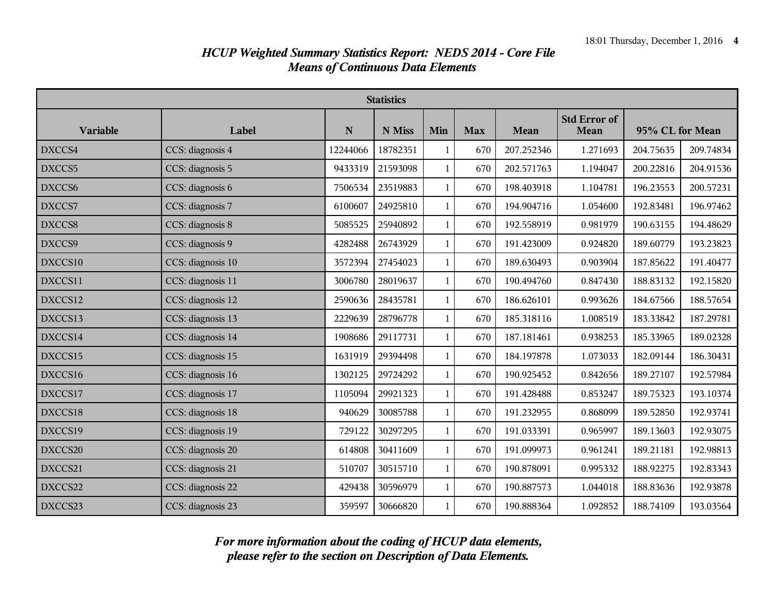|                 | <b>Statistics</b> |          |          |              |            |            |                             |                 |           |
|-----------------|-------------------|----------|----------|--------------|------------|------------|-----------------------------|-----------------|-----------|
| <b>Variable</b> | Label             | N        | N Miss   | Min          | <b>Max</b> | Mean       | <b>Std Error of</b><br>Mean | 95% CL for Mean |           |
| DXCCS4          | CCS: diagnosis 4  | 12244066 | 18782351 | 1            | 670        | 207.252346 | 1.271693                    | 204.75635       | 209.74834 |
| DXCCS5          | CCS: diagnosis 5  | 9433319  | 21593098 | $\mathbf{1}$ | 670        | 202.571763 | 1.194047                    | 200.22816       | 204.91536 |
| DXCCS6          | CCS: diagnosis 6  | 7506534  | 23519883 | 1            | 670        | 198.403918 | 1.104781                    | 196.23553       | 200.57231 |
| DXCCS7          | CCS: diagnosis 7  | 6100607  | 24925810 | $\mathbf{1}$ | 670        | 194.904716 | 1.054600                    | 192.83481       | 196.97462 |
| DXCCS8          | CCS: diagnosis 8  | 5085525  | 25940892 | $\mathbf{1}$ | 670        | 192.558919 | 0.981979                    | 190.63155       | 194.48629 |
| DXCCS9          | CCS: diagnosis 9  | 4282488  | 26743929 | 1            | 670        | 191.423009 | 0.924820                    | 189.60779       | 193.23823 |
| DXCCS10         | CCS: diagnosis 10 | 3572394  | 27454023 | $\mathbf{1}$ | 670        | 189.630493 | 0.903904                    | 187.85622       | 191.40477 |
| DXCCS11         | CCS: diagnosis 11 | 3006780  | 28019637 | $\mathbf{1}$ | 670        | 190.494760 | 0.847430                    | 188.83132       | 192.15820 |
| DXCCS12         | CCS: diagnosis 12 | 2590636  | 28435781 | 1            | 670        | 186.626101 | 0.993626                    | 184.67566       | 188.57654 |
| DXCCS13         | CCS: diagnosis 13 | 2229639  | 28796778 | 1            | 670        | 185.318116 | 1.008519                    | 183.33842       | 187.29781 |
| DXCCS14         | CCS: diagnosis 14 | 1908686  | 29117731 | $\mathbf{1}$ | 670        | 187.181461 | 0.938253                    | 185.33965       | 189.02328 |
| DXCCS15         | CCS: diagnosis 15 | 1631919  | 29394498 | $\mathbf{1}$ | 670        | 184.197878 | 1.073033                    | 182.09144       | 186.30431 |
| DXCCS16         | CCS: diagnosis 16 | 1302125  | 29724292 | 1            | 670        | 190.925452 | 0.842656                    | 189.27107       | 192.57984 |
| DXCCS17         | CCS: diagnosis 17 | 1105094  | 29921323 | 1            | 670        | 191.428488 | 0.853247                    | 189.75323       | 193.10374 |
| DXCCS18         | CCS: diagnosis 18 | 940629   | 30085788 | 1            | 670        | 191.232955 | 0.868099                    | 189.52850       | 192.93741 |
| DXCCS19         | CCS: diagnosis 19 | 729122   | 30297295 | 1            | 670        | 191.033391 | 0.965997                    | 189.13603       | 192.93075 |
| DXCCS20         | CCS: diagnosis 20 | 614808   | 30411609 | $\mathbf{1}$ | 670        | 191.099973 | 0.961241                    | 189.21181       | 192.98813 |
| DXCCS21         | CCS: diagnosis 21 | 510707   | 30515710 | $\mathbf{1}$ | 670        | 190.878091 | 0.995332                    | 188.92275       | 192.83343 |
| DXCCS22         | CCS: diagnosis 22 | 429438   | 30596979 | $\mathbf{1}$ | 670        | 190.887573 | 1.044018                    | 188.83636       | 192.93878 |
| DXCCS23         | CCS: diagnosis 23 | 359597   | 30666820 | $\mathbf{1}$ | 670        | 190.888364 | 1.092852                    | 188.74109       | 193.03564 |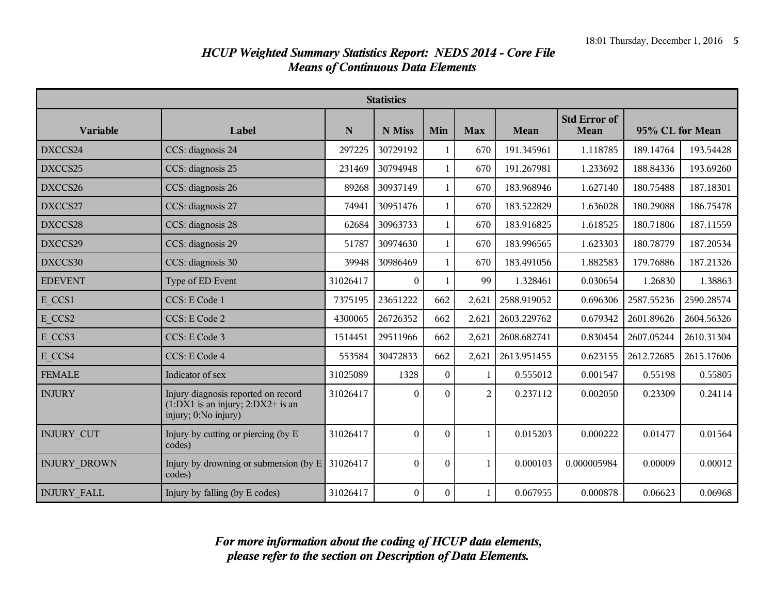|                     | <b>Statistics</b>                                                                                    |             |                  |                  |                |             |                                    |                 |            |
|---------------------|------------------------------------------------------------------------------------------------------|-------------|------------------|------------------|----------------|-------------|------------------------------------|-----------------|------------|
| <b>Variable</b>     | Label                                                                                                | $\mathbf N$ | N Miss           | Min              | <b>Max</b>     | <b>Mean</b> | <b>Std Error of</b><br><b>Mean</b> | 95% CL for Mean |            |
| DXCCS24             | CCS: diagnosis 24                                                                                    | 297225      | 30729192         | 1                | 670            | 191.345961  | 1.118785                           | 189.14764       | 193.54428  |
| DXCCS25             | CCS: diagnosis 25                                                                                    | 231469      | 30794948         | $\mathbf{1}$     | 670            | 191.267981  | 1.233692                           | 188.84336       | 193.69260  |
| DXCCS26             | CCS: diagnosis 26                                                                                    | 89268       | 30937149         | $\mathbf{1}$     | 670            | 183.968946  | 1.627140                           | 180.75488       | 187.18301  |
| DXCCS27             | CCS: diagnosis 27                                                                                    | 74941       | 30951476         | $\mathbf{1}$     | 670            | 183.522829  | 1.636028                           | 180.29088       | 186.75478  |
| DXCCS28             | CCS: diagnosis 28                                                                                    | 62684       | 30963733         | $\mathbf{1}$     | 670            | 183.916825  | 1.618525                           | 180.71806       | 187.11559  |
| DXCCS29             | CCS: diagnosis 29                                                                                    | 51787       | 30974630         | $\mathbf{1}$     | 670            | 183.996565  | 1.623303                           | 180.78779       | 187.20534  |
| DXCCS30             | CCS: diagnosis 30                                                                                    | 39948       | 30986469         | $\mathbf{1}$     | 670            | 183.491056  | 1.882583                           | 179.76886       | 187.21326  |
| <b>EDEVENT</b>      | Type of ED Event                                                                                     | 31026417    | $\theta$         |                  | 99             | 1.328461    | 0.030654                           | 1.26830         | 1.38863    |
| E CCS1              | CCS: E Code 1                                                                                        | 7375195     | 23651222         | 662              | 2,621          | 2588.919052 | 0.696306                           | 2587.55236      | 2590.28574 |
| E CCS2              | CCS: E Code 2                                                                                        | 4300065     | 26726352         | 662              | 2,621          | 2603.229762 | 0.679342                           | 2601.89626      | 2604.56326 |
| E CCS3              | CCS: E Code 3                                                                                        | 1514451     | 29511966         | 662              | 2,621          | 2608.682741 | 0.830454                           | 2607.05244      | 2610.31304 |
| E CCS4              | CCS: E Code 4                                                                                        | 553584      | 30472833         | 662              | 2,621          | 2613.951455 | 0.623155                           | 2612.72685      | 2615.17606 |
| <b>FEMALE</b>       | Indicator of sex                                                                                     | 31025089    | 1328             | $\theta$         | $\mathbf{1}$   | 0.555012    | 0.001547                           | 0.55198         | 0.55805    |
| <b>INJURY</b>       | Injury diagnosis reported on record<br>$(1:DX1$ is an injury; $2:DX2+$ is an<br>injury; 0:No injury) | 31026417    | $\theta$         | $\Omega$         | $\overline{2}$ | 0.237112    | 0.002050                           | 0.23309         | 0.24114    |
| <b>INJURY CUT</b>   | Injury by cutting or piercing (by E<br>codes)                                                        | 31026417    | $\Omega$         | $\theta$         | $\mathbf{1}$   | 0.015203    | 0.000222                           | 0.01477         | 0.01564    |
| <b>INJURY DROWN</b> | Injury by drowning or submersion (by $E$ )<br>codes)                                                 | 31026417    | $\theta$         | $\overline{0}$   | $\mathbf{1}$   | 0.000103    | 0.000005984                        | 0.00009         | 0.00012    |
| <b>INJURY FALL</b>  | Injury by falling (by E codes)                                                                       | 31026417    | $\boldsymbol{0}$ | $\boldsymbol{0}$ | $\mathbf{1}$   | 0.067955    | 0.000878                           | 0.06623         | 0.06968    |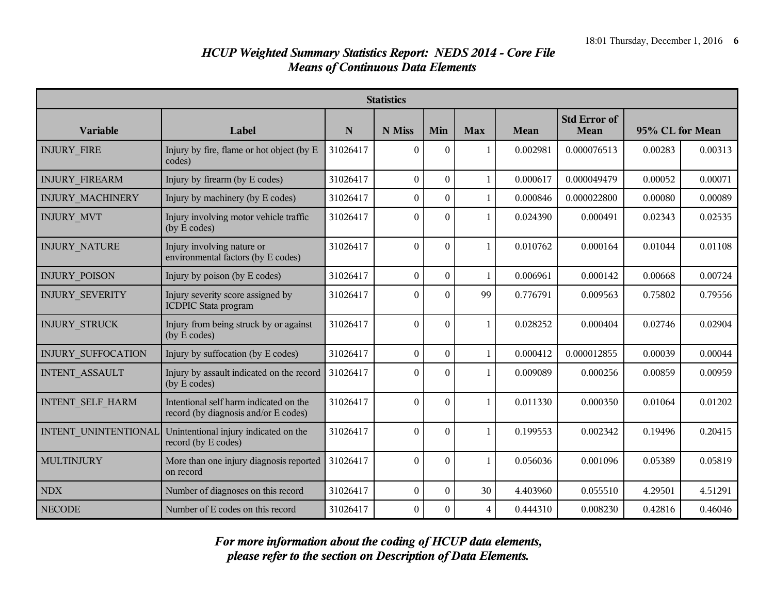|                           | <b>Statistics</b>                                                              |          |                  |                  |                |          |                             |                 |         |
|---------------------------|--------------------------------------------------------------------------------|----------|------------------|------------------|----------------|----------|-----------------------------|-----------------|---------|
| <b>Variable</b>           | Label                                                                          | N        | N Miss           | Min              | <b>Max</b>     | Mean     | <b>Std Error of</b><br>Mean | 95% CL for Mean |         |
| <b>INJURY FIRE</b>        | Injury by fire, flame or hot object (by E<br>codes)                            | 31026417 | $\theta$         | $\theta$         | 1              | 0.002981 | 0.000076513                 | 0.00283         | 0.00313 |
| <b>INJURY FIREARM</b>     | Injury by firearm (by E codes)                                                 | 31026417 | $\overline{0}$   | $\overline{0}$   | 1              | 0.000617 | 0.000049479                 | 0.00052         | 0.00071 |
| INJURY_MACHINERY          | Injury by machinery (by E codes)                                               | 31026417 | $\boldsymbol{0}$ | $\theta$         | 1              | 0.000846 | 0.000022800                 | 0.00080         | 0.00089 |
| <b>INJURY MVT</b>         | Injury involving motor vehicle traffic<br>(by E codes)                         | 31026417 | $\overline{0}$   | $\theta$         | $\mathbf{1}$   | 0.024390 | 0.000491                    | 0.02343         | 0.02535 |
| <b>INJURY NATURE</b>      | Injury involving nature or<br>environmental factors (by E codes)               | 31026417 | $\theta$         | $\overline{0}$   | $\mathbf{1}$   | 0.010762 | 0.000164                    | 0.01044         | 0.01108 |
| <b>INJURY POISON</b>      | Injury by poison (by E codes)                                                  | 31026417 | $\mathbf{0}$     | $\boldsymbol{0}$ | $\mathbf{1}$   | 0.006961 | 0.000142                    | 0.00668         | 0.00724 |
| <b>INJURY SEVERITY</b>    | Injury severity score assigned by<br><b>ICDPIC Stata program</b>               | 31026417 | $\theta$         | $\Omega$         | 99             | 0.776791 | 0.009563                    | 0.75802         | 0.79556 |
| <b>INJURY STRUCK</b>      | Injury from being struck by or against<br>(by E codes)                         | 31026417 | $\overline{0}$   | $\Omega$         | $\mathbf{1}$   | 0.028252 | 0.000404                    | 0.02746         | 0.02904 |
| <b>INJURY SUFFOCATION</b> | Injury by suffocation (by E codes)                                             | 31026417 | $\boldsymbol{0}$ | $\Omega$         | 1              | 0.000412 | 0.000012855                 | 0.00039         | 0.00044 |
| <b>INTENT ASSAULT</b>     | Injury by assault indicated on the record<br>(by E codes)                      | 31026417 | $\theta$         | $\theta$         | 1              | 0.009089 | 0.000256                    | 0.00859         | 0.00959 |
| <b>INTENT SELF HARM</b>   | Intentional self harm indicated on the<br>record (by diagnosis and/or E codes) | 31026417 | $\mathbf{0}$     | $\mathbf{0}$     | $\mathbf{1}$   | 0.011330 | 0.000350                    | 0.01064         | 0.01202 |
| INTENT UNINTENTIONAL      | Unintentional injury indicated on the<br>record (by E codes)                   | 31026417 | $\boldsymbol{0}$ | $\boldsymbol{0}$ | $\mathbf{1}$   | 0.199553 | 0.002342                    | 0.19496         | 0.20415 |
| MULTINJURY                | More than one injury diagnosis reported<br>on record                           | 31026417 | $\mathbf{0}$     | $\theta$         | $\mathbf{1}$   | 0.056036 | 0.001096                    | 0.05389         | 0.05819 |
| <b>NDX</b>                | Number of diagnoses on this record                                             | 31026417 | $\boldsymbol{0}$ | $\boldsymbol{0}$ | 30             | 4.403960 | 0.055510                    | 4.29501         | 4.51291 |
| <b>NECODE</b>             | Number of E codes on this record                                               | 31026417 | $\boldsymbol{0}$ | $\mathbf{0}$     | $\overline{4}$ | 0.444310 | 0.008230                    | 0.42816         | 0.46046 |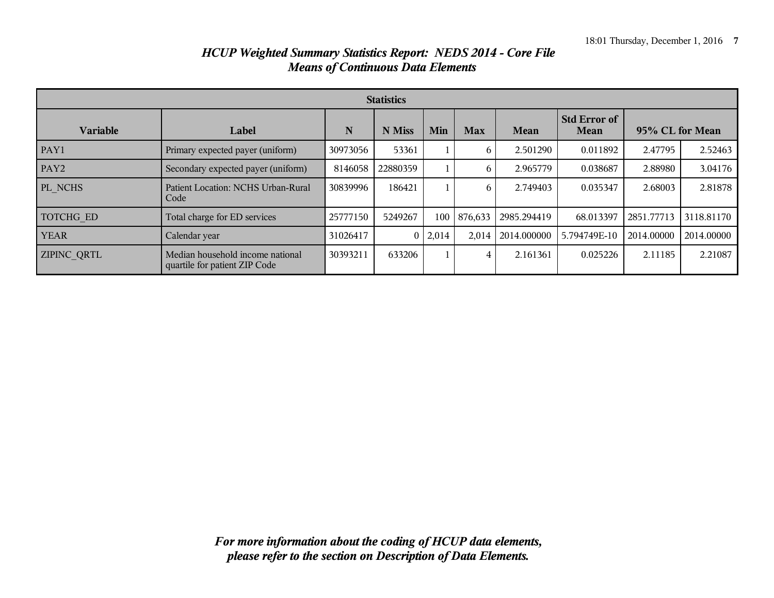| <b>Statistics</b>  |                                                                   |          |          |                |            |             |                             |                 |            |
|--------------------|-------------------------------------------------------------------|----------|----------|----------------|------------|-------------|-----------------------------|-----------------|------------|
| <b>Variable</b>    | Label                                                             | N        | N Miss   | Min            | <b>Max</b> | Mean        | <b>Std Error of</b><br>Mean | 95% CL for Mean |            |
| PAY1               | Primary expected payer (uniform)                                  | 30973056 | 53361    |                | 6          | 2.501290    | 0.011892                    | 2.47795         | 2.52463    |
| PAY <sub>2</sub>   | Secondary expected payer (uniform)                                | 8146058  | 22880359 |                | 6          | 2.965779    | 0.038687                    | 2.88980         | 3.04176    |
| PL NCHS            | Patient Location: NCHS Urban-Rural<br>Code                        | 30839996 | 186421   |                | 6          | 2.749403    | 0.035347                    | 2.68003         | 2.81878    |
| TOTCHG ED          | Total charge for ED services                                      | 25777150 | 5249267  | 100            | 876,633    | 2985.294419 | 68.013397                   | 2851.77713      | 3118.81170 |
| <b>YEAR</b>        | Calendar year                                                     | 31026417 |          | $0 \mid 2,014$ | 2,014      | 2014.000000 | 5.794749E-10                | 2014.00000      | 2014.00000 |
| <b>ZIPINC QRTL</b> | Median household income national<br>quartile for patient ZIP Code | 30393211 | 633206   |                | 4          | 2.161361    | 0.025226                    | 2.11185         | 2.21087    |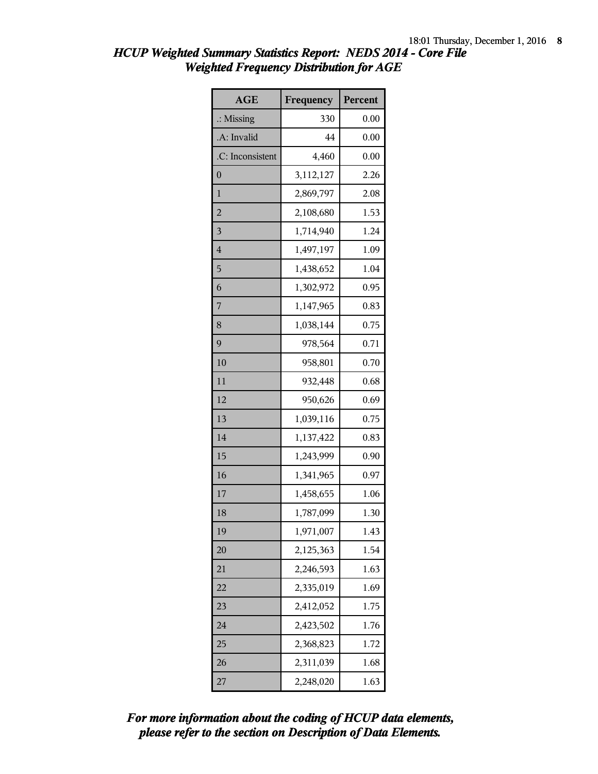| HCUP Weighted Summary Statistics Report: NEDS 2014 - Core File |  |
|----------------------------------------------------------------|--|
| <b>Weighted Frequency Distribution for AGE</b>                 |  |

| <b>AGE</b>              | Frequency | Percent |
|-------------------------|-----------|---------|
| $\therefore$ Missing    | 330       | 0.00    |
| .A: Invalid             | 44        | 0.00    |
| .C: Inconsistent        | 4,460     | 0.00    |
| $\overline{0}$          | 3,112,127 | 2.26    |
| $\mathbf{1}$            | 2,869,797 | 2.08    |
| $\overline{c}$          | 2,108,680 | 1.53    |
| $\overline{\mathbf{3}}$ | 1,714,940 | 1.24    |
| $\overline{4}$          | 1,497,197 | 1.09    |
| 5                       | 1,438,652 | 1.04    |
| 6                       | 1,302,972 | 0.95    |
| 7                       | 1,147,965 | 0.83    |
| 8                       | 1,038,144 | 0.75    |
| 9                       | 978,564   | 0.71    |
| 10                      | 958,801   | 0.70    |
| 11                      | 932,448   | 0.68    |
| 12                      | 950,626   | 0.69    |
| 13                      | 1,039,116 | 0.75    |
| 14                      | 1,137,422 | 0.83    |
| 15                      | 1,243,999 | 0.90    |
| 16                      | 1,341,965 | 0.97    |
| 17                      | 1,458,655 | 1.06    |
| 18                      | 1,787,099 | 1.30    |
| 19                      | 1,971,007 | 1.43    |
| 20                      | 2,125,363 | 1.54    |
| 21                      | 2,246,593 | 1.63    |
| 22                      | 2,335,019 | 1.69    |
| 23                      | 2,412,052 | 1.75    |
| 24                      | 2,423,502 | 1.76    |
| 25                      | 2,368,823 | 1.72    |
| 26                      | 2,311,039 | 1.68    |
| 27                      | 2,248,020 | 1.63    |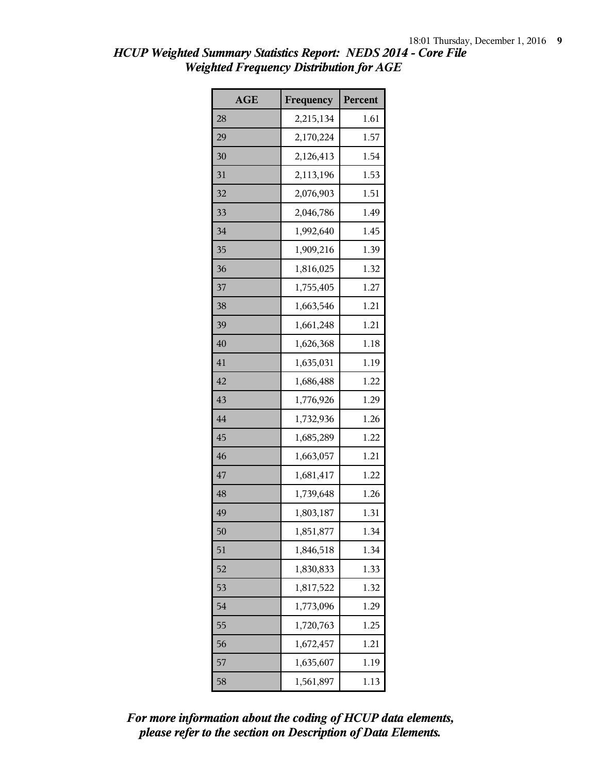| <b>AGE</b> | Frequency | Percent |
|------------|-----------|---------|
| 28         | 2,215,134 | 1.61    |
| 29         | 2,170,224 | 1.57    |
| 30         | 2,126,413 | 1.54    |
| 31         | 2,113,196 | 1.53    |
| 32         | 2,076,903 | 1.51    |
| 33         | 2,046,786 | 1.49    |
| 34         | 1,992,640 | 1.45    |
| 35         | 1,909,216 | 1.39    |
| 36         | 1,816,025 | 1.32    |
| 37         | 1,755,405 | 1.27    |
| 38         | 1,663,546 | 1.21    |
| 39         | 1,661,248 | 1.21    |
| 40         | 1,626,368 | 1.18    |
| 41         | 1,635,031 | 1.19    |
| 42         | 1,686,488 | 1.22    |
| 43         | 1,776,926 | 1.29    |
| 44         | 1,732,936 | 1.26    |
| 45         | 1,685,289 | 1.22    |
| 46         | 1,663,057 | 1.21    |
| 47         | 1,681,417 | 1.22    |
| 48         | 1,739,648 | 1.26    |
| 49         | 1,803,187 | 1.31    |
| 50         | 1,851,877 | 1.34    |
| 51         | 1,846,518 | 1.34    |
| 52         | 1,830,833 | 1.33    |
| 53         | 1,817,522 | 1.32    |
| 54         | 1,773,096 | 1.29    |
| 55         | 1,720,763 | 1.25    |
| 56         | 1,672,457 | 1.21    |
| 57         | 1,635,607 | 1.19    |
| 58         | 1,561,897 | 1.13    |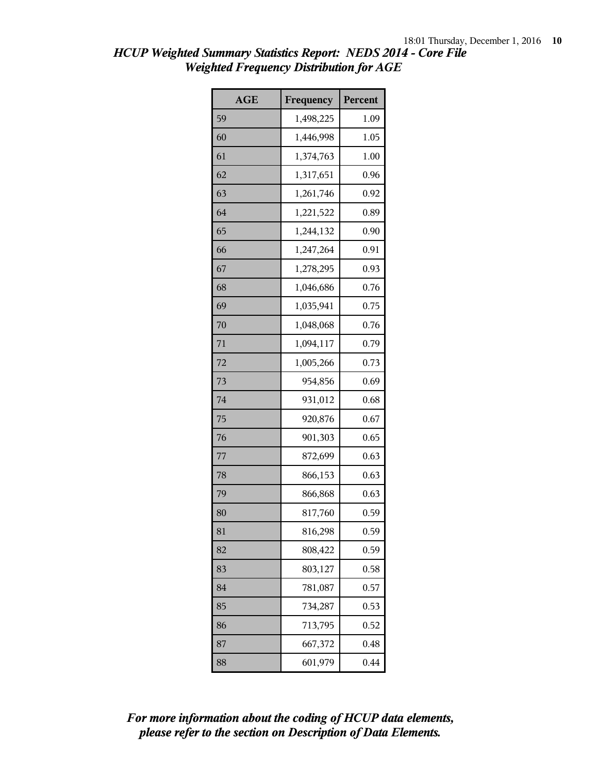| <b>AGE</b> | Frequency | Percent |
|------------|-----------|---------|
| 59         | 1,498,225 | 1.09    |
| 60         | 1,446,998 | 1.05    |
| 61         | 1,374,763 | 1.00    |
| 62         | 1,317,651 | 0.96    |
| 63         | 1,261,746 | 0.92    |
| 64         | 1,221,522 | 0.89    |
| 65         | 1,244,132 | 0.90    |
| 66         | 1,247,264 | 0.91    |
| 67         | 1,278,295 | 0.93    |
| 68         | 1,046,686 | 0.76    |
| 69         | 1,035,941 | 0.75    |
| 70         | 1,048,068 | 0.76    |
| 71         | 1,094,117 | 0.79    |
| 72         | 1,005,266 | 0.73    |
| 73         | 954,856   | 0.69    |
| 74         | 931,012   | 0.68    |
| 75         | 920,876   | 0.67    |
| 76         | 901,303   | 0.65    |
| 77         | 872,699   | 0.63    |
| 78         | 866,153   | 0.63    |
| 79         | 866,868   | 0.63    |
| 80         | 817,760   | 0.59    |
| 81         | 816,298   | 0.59    |
| 82         | 808,422   | 0.59    |
| 83         | 803,127   | 0.58    |
| 84         | 781,087   | 0.57    |
| 85         | 734,287   | 0.53    |
| 86         | 713,795   | 0.52    |
| 87         | 667,372   | 0.48    |
| 88         | 601,979   | 0.44    |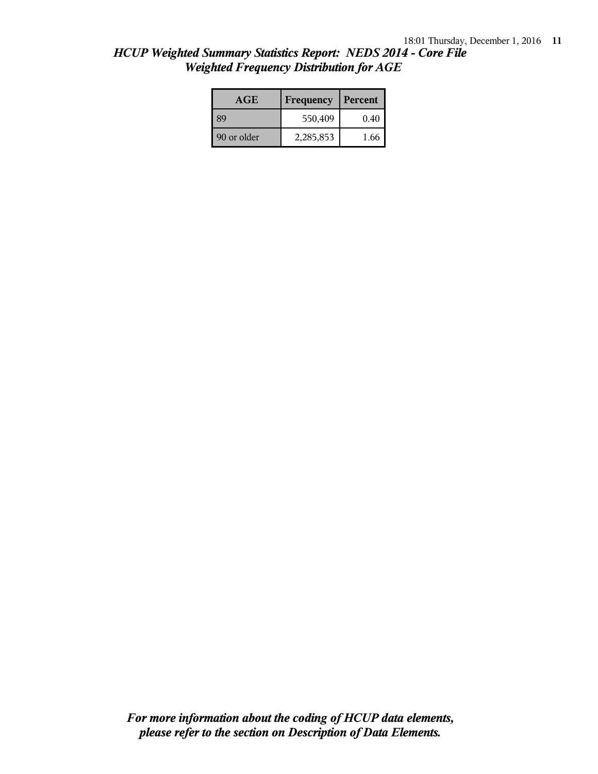| HCUP Weighted Summary Statistics Report: NEDS 2014 - Core File |  |
|----------------------------------------------------------------|--|
| <b>Weighted Frequency Distribution for AGE</b>                 |  |

| <b>AGE</b>  | Frequency | Percent |  |
|-------------|-----------|---------|--|
| 89          | 550,409   | 0.40    |  |
| 90 or older | 2,285,853 | 1.66    |  |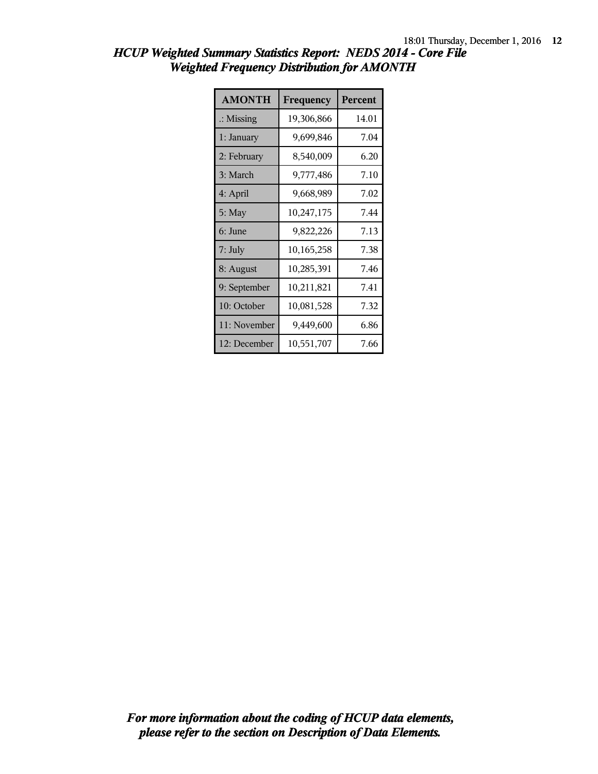| <b>AMONTH</b>        | Frequency    | Percent |
|----------------------|--------------|---------|
| $\therefore$ Missing | 19,306,866   | 14.01   |
| 1: January           | 9,699,846    | 7.04    |
| 2: February          | 8,540,009    | 6.20    |
| 3: March             | 9,777,486    | 7.10    |
| 4: April             | 9,668,989    | 7.02    |
| 5: May               | 10,247,175   | 7.44    |
| 6: June              | 9,822,226    | 7.13    |
| 7: July              | 10, 165, 258 | 7.38    |
| 8: August            | 10,285,391   | 7.46    |
| 9: September         | 10,211,821   | 7.41    |
| 10: October          | 10,081,528   | 7.32    |
| 11: November         | 9,449,600    | 6.86    |
| 12: December         | 10,551,707   | 7.66    |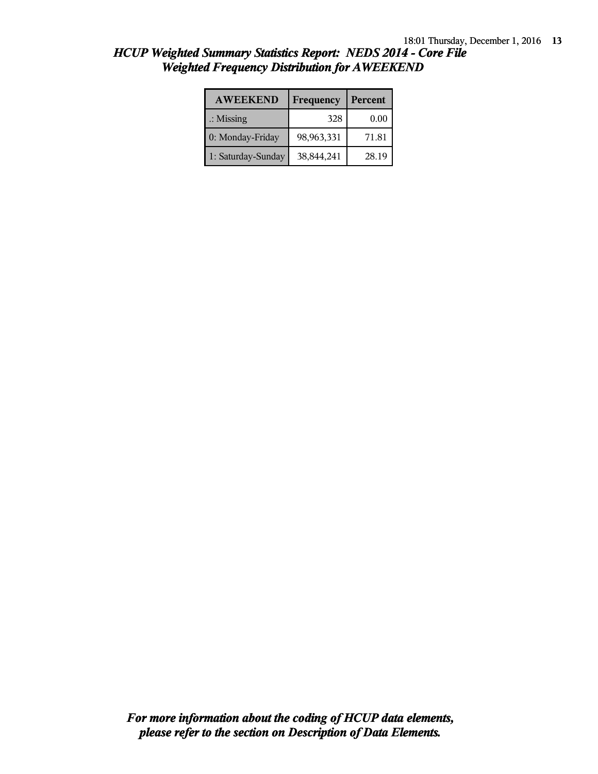| <b>AWEEKEND</b>      | Frequency  | Percent |
|----------------------|------------|---------|
| $\therefore$ Missing | 328        | 0.00    |
| 0: Monday-Friday     | 98,963,331 | 71.81   |
| 1: Saturday-Sunday   | 38,844,241 | 28.19   |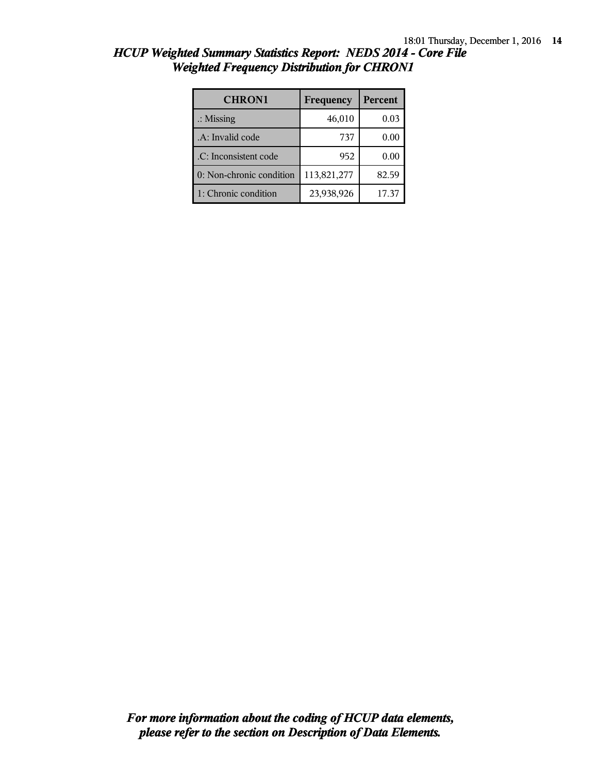| <b>CHRON1</b>            | Frequency   | Percent |
|--------------------------|-------------|---------|
| $\therefore$ Missing     | 46,010      | 0.03    |
| .A: Invalid code         | 737         | 0.00    |
| .C: Inconsistent code    | 952         | 0.00    |
| 0: Non-chronic condition | 113,821,277 | 82.59   |
| 1: Chronic condition     | 23,938,926  | 17.37   |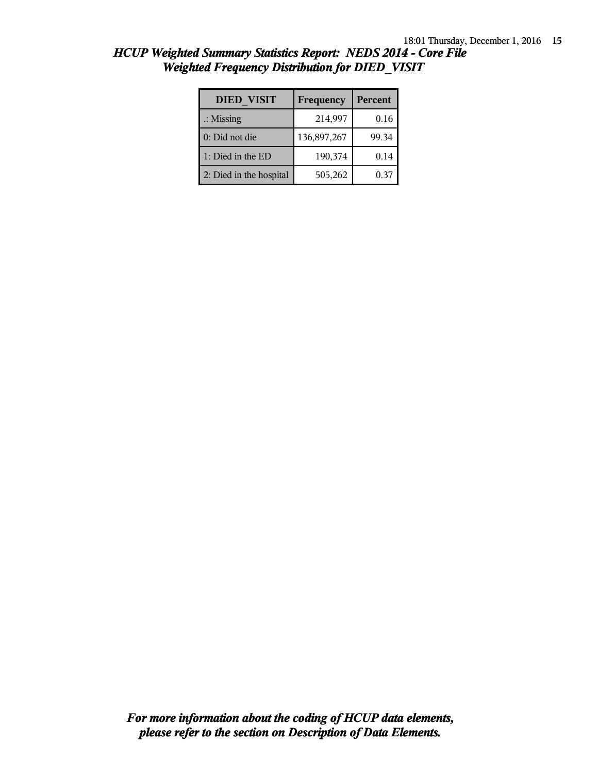| <b>DIED VISIT</b>       | Frequency   | Percent |
|-------------------------|-------------|---------|
| $\therefore$ Missing    | 214,997     | 0.16    |
| 0: Did not die          | 136,897,267 | 99.34   |
| 1: Died in the ED       | 190,374     | 0.14    |
| 2: Died in the hospital | 505,262     | 0.37    |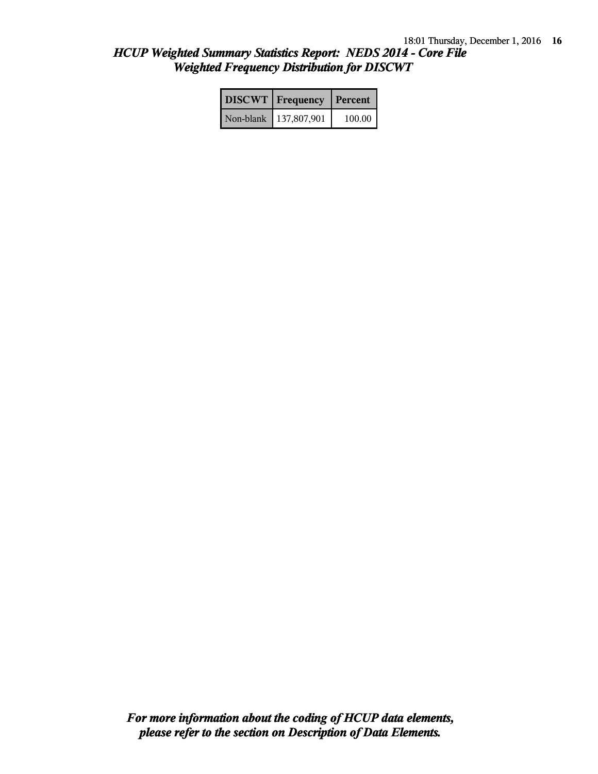| <b>DISCWT</b>   Frequency   Percent |        |
|-------------------------------------|--------|
| Non-blank 137,807,901               | 100.00 |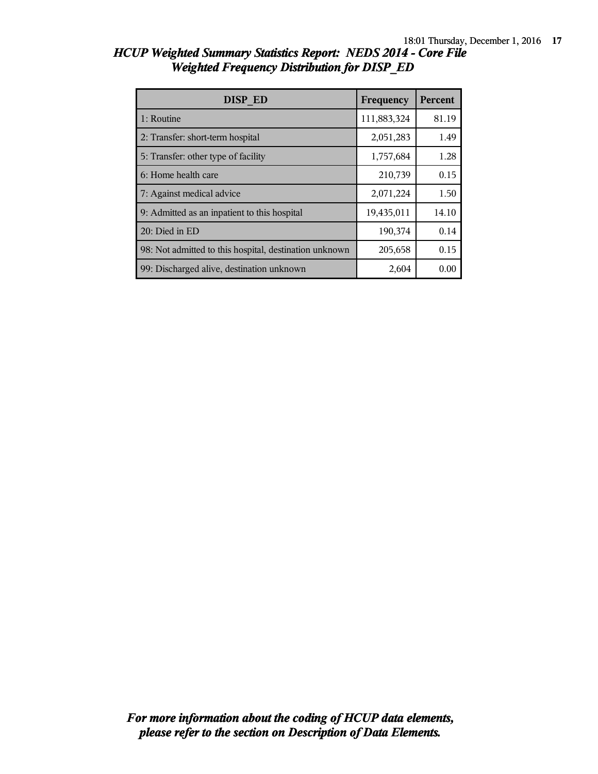| DISP ED                                                | Frequency   | <b>Percent</b> |
|--------------------------------------------------------|-------------|----------------|
| 1: Routine                                             | 111,883,324 | 81.19          |
| 2: Transfer: short-term hospital                       | 2,051,283   | 1.49           |
| 5: Transfer: other type of facility                    | 1,757,684   | 1.28           |
| 6: Home health care                                    | 210,739     | 0.15           |
| 7: Against medical advice                              | 2,071,224   | 1.50           |
| 9: Admitted as an inpatient to this hospital           | 19,435,011  | 14.10          |
| 20: Died in ED                                         | 190,374     | 0.14           |
| 98: Not admitted to this hospital, destination unknown | 205,658     | 0.15           |
| 99: Discharged alive, destination unknown              | 2,604       | 0.00           |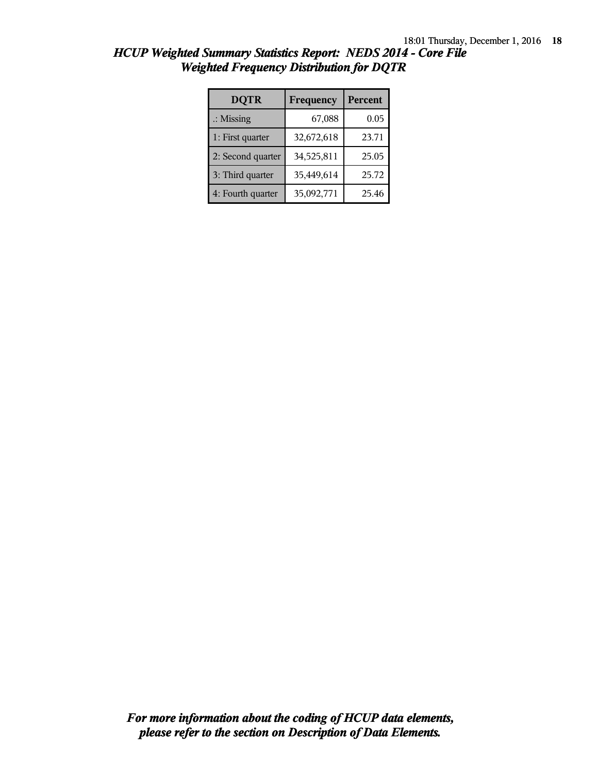| <b>DQTR</b>          | Frequency  | Percent |
|----------------------|------------|---------|
| $\therefore$ Missing | 67,088     | 0.05    |
| 1: First quarter     | 32,672,618 | 23.71   |
| 2: Second quarter    | 34,525,811 | 25.05   |
| 3: Third quarter     | 35,449,614 | 25.72   |
| 4: Fourth quarter    | 35,092,771 | 25.46   |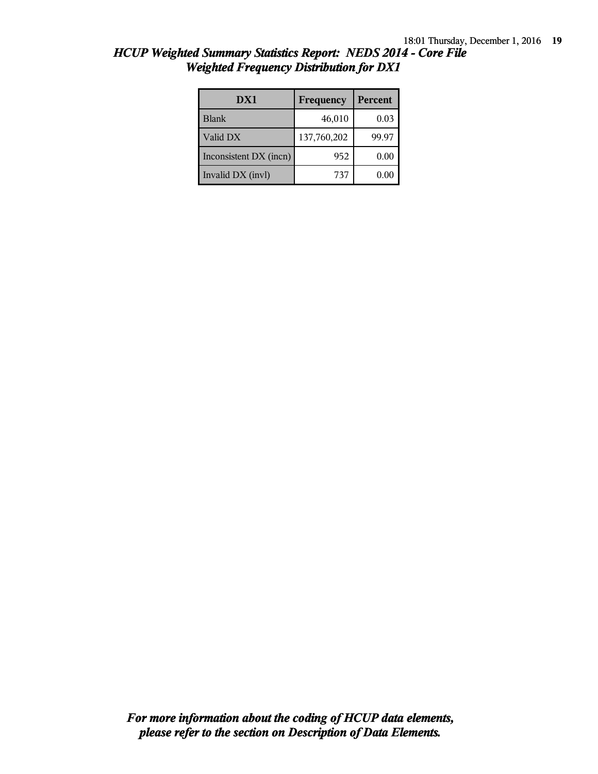| DX1                    | Frequency   | Percent  |
|------------------------|-------------|----------|
| <b>Blank</b>           | 46,010      | 0.03     |
| Valid DX               | 137,760,202 | 99.97    |
| Inconsistent DX (incn) | 952         | 0.00     |
| Invalid DX (invl)      | 737         | $0.00\,$ |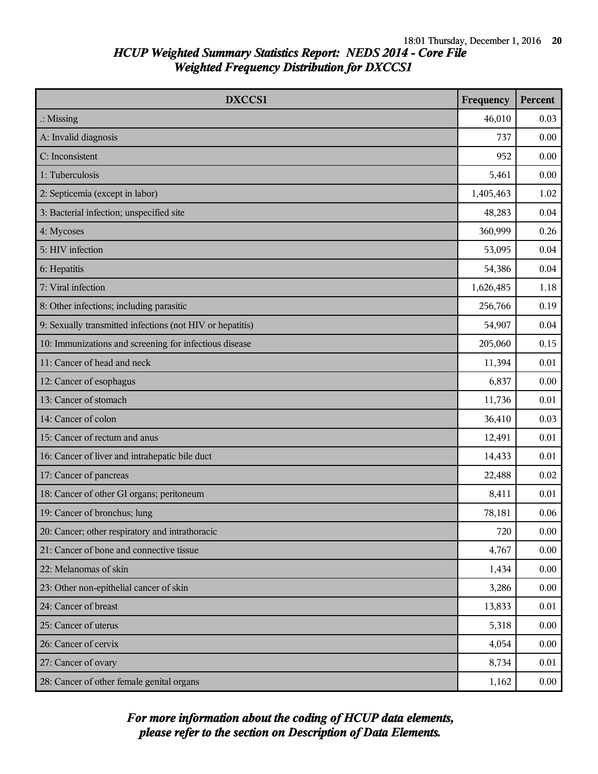| DXCCS1                                                    | Frequency | <b>Percent</b> |
|-----------------------------------------------------------|-----------|----------------|
| $\therefore$ Missing                                      | 46,010    | 0.03           |
| A: Invalid diagnosis                                      | 737       | 0.00           |
| C: Inconsistent                                           | 952       | 0.00           |
| 1: Tuberculosis                                           | 5,461     | 0.00           |
| 2: Septicemia (except in labor)                           | 1,405,463 | 1.02           |
| 3: Bacterial infection; unspecified site                  | 48,283    | 0.04           |
| 4: Mycoses                                                | 360,999   | 0.26           |
| 5: HIV infection                                          | 53,095    | 0.04           |
| 6: Hepatitis                                              | 54,386    | 0.04           |
| 7: Viral infection                                        | 1,626,485 | 1.18           |
| 8: Other infections; including parasitic                  | 256,766   | 0.19           |
| 9: Sexually transmitted infections (not HIV or hepatitis) | 54,907    | 0.04           |
| 10: Immunizations and screening for infectious disease    | 205,060   | 0.15           |
| 11: Cancer of head and neck                               | 11,394    | 0.01           |
| 12: Cancer of esophagus                                   | 6,837     | 0.00           |
| 13: Cancer of stomach                                     | 11,736    | 0.01           |
| 14: Cancer of colon                                       | 36,410    | 0.03           |
| 15: Cancer of rectum and anus                             | 12,491    | 0.01           |
| 16: Cancer of liver and intrahepatic bile duct            | 14,433    | 0.01           |
| 17: Cancer of pancreas                                    | 22,488    | 0.02           |
| 18: Cancer of other GI organs; peritoneum                 | 8,411     | 0.01           |
| 19: Cancer of bronchus; lung                              | 78,181    | 0.06           |
| 20: Cancer; other respiratory and intrathoracic           | 720       | 0.00           |
| 21: Cancer of bone and connective tissue                  | 4,767     | 0.00           |
| 22: Melanomas of skin                                     | 1,434     | 0.00           |
| 23: Other non-epithelial cancer of skin                   | 3,286     | 0.00           |
| 24: Cancer of breast                                      | 13,833    | 0.01           |
| 25: Cancer of uterus                                      | 5,318     | 0.00           |
| 26: Cancer of cervix                                      | 4,054     | 0.00           |
| 27: Cancer of ovary                                       | 8,734     | 0.01           |
| 28: Cancer of other female genital organs                 | 1,162     | 0.00           |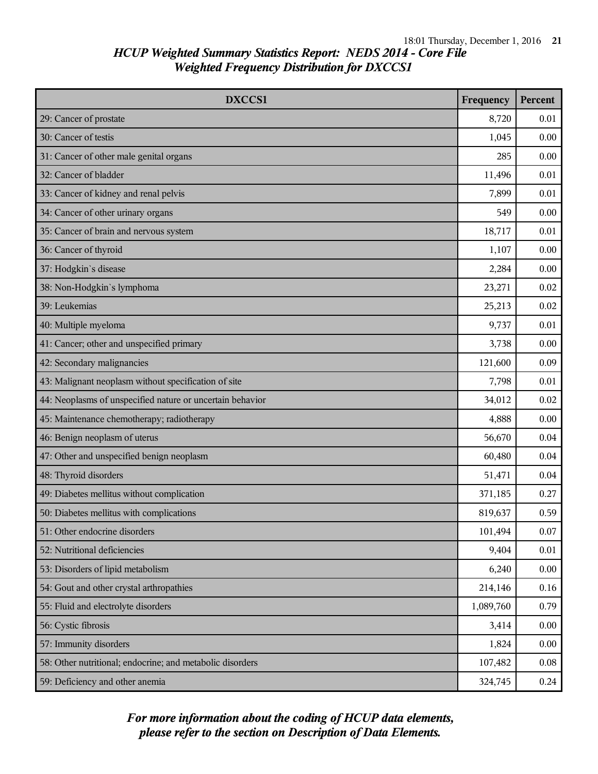| DXCCS1                                                    | Frequency | <b>Percent</b> |
|-----------------------------------------------------------|-----------|----------------|
| 29: Cancer of prostate                                    | 8,720     | 0.01           |
| 30: Cancer of testis                                      | 1,045     | 0.00           |
| 31: Cancer of other male genital organs                   | 285       | 0.00           |
| 32: Cancer of bladder                                     | 11,496    | 0.01           |
| 33: Cancer of kidney and renal pelvis                     | 7,899     | 0.01           |
| 34: Cancer of other urinary organs                        | 549       | 0.00           |
| 35: Cancer of brain and nervous system                    | 18,717    | 0.01           |
| 36: Cancer of thyroid                                     | 1,107     | 0.00           |
| 37: Hodgkin's disease                                     | 2,284     | 0.00           |
| 38: Non-Hodgkin's lymphoma                                | 23,271    | 0.02           |
| 39: Leukemias                                             | 25,213    | 0.02           |
| 40: Multiple myeloma                                      | 9,737     | 0.01           |
| 41: Cancer; other and unspecified primary                 | 3,738     | 0.00           |
| 42: Secondary malignancies                                | 121,600   | 0.09           |
| 43: Malignant neoplasm without specification of site      | 7,798     | 0.01           |
| 44: Neoplasms of unspecified nature or uncertain behavior | 34,012    | 0.02           |
| 45: Maintenance chemotherapy; radiotherapy                | 4,888     | 0.00           |
| 46: Benign neoplasm of uterus                             | 56,670    | 0.04           |
| 47: Other and unspecified benign neoplasm                 | 60,480    | 0.04           |
| 48: Thyroid disorders                                     | 51,471    | 0.04           |
| 49: Diabetes mellitus without complication                | 371,185   | 0.27           |
| 50: Diabetes mellitus with complications                  | 819,637   | 0.59           |
| 51: Other endocrine disorders                             | 101,494   | 0.07           |
| 52: Nutritional deficiencies                              | 9,404     | 0.01           |
| 53: Disorders of lipid metabolism                         | 6,240     | 0.00           |
| 54: Gout and other crystal arthropathies                  | 214,146   | 0.16           |
| 55: Fluid and electrolyte disorders                       | 1,089,760 | 0.79           |
| 56: Cystic fibrosis                                       | 3,414     | 0.00           |
| 57: Immunity disorders                                    | 1,824     | 0.00           |
| 58: Other nutritional; endocrine; and metabolic disorders | 107,482   | 0.08           |
| 59: Deficiency and other anemia                           | 324,745   | 0.24           |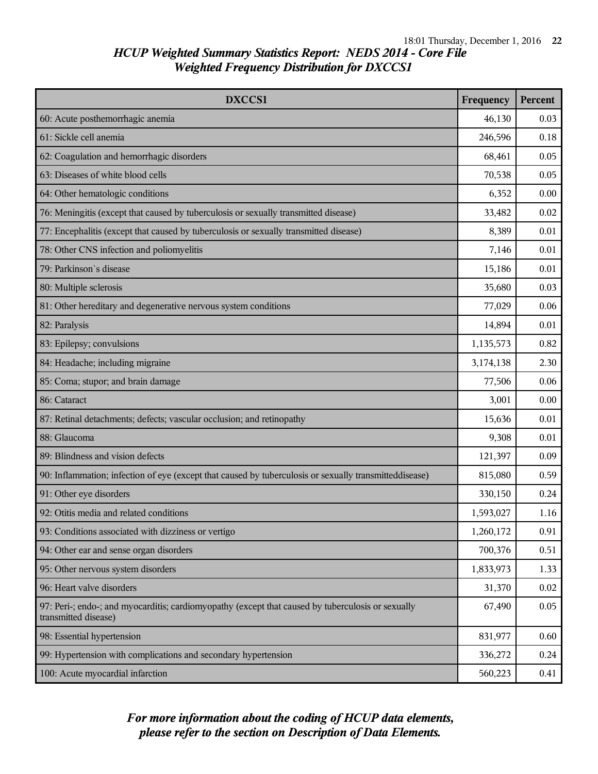| <b>DXCCS1</b>                                                                                                             | Frequency | <b>Percent</b> |
|---------------------------------------------------------------------------------------------------------------------------|-----------|----------------|
| 60: Acute posthemorrhagic anemia                                                                                          | 46,130    | 0.03           |
| 61: Sickle cell anemia                                                                                                    | 246,596   | 0.18           |
| 62: Coagulation and hemorrhagic disorders                                                                                 | 68,461    | 0.05           |
| 63: Diseases of white blood cells                                                                                         | 70,538    | 0.05           |
| 64: Other hematologic conditions                                                                                          | 6,352     | 0.00           |
| 76: Meningitis (except that caused by tuberculosis or sexually transmitted disease)                                       | 33,482    | 0.02           |
| 77: Encephalitis (except that caused by tuberculosis or sexually transmitted disease)                                     | 8,389     | 0.01           |
| 78: Other CNS infection and poliomyelitis                                                                                 | 7,146     | 0.01           |
| 79: Parkinson's disease                                                                                                   | 15,186    | 0.01           |
| 80: Multiple sclerosis                                                                                                    | 35,680    | 0.03           |
| 81: Other hereditary and degenerative nervous system conditions                                                           | 77,029    | 0.06           |
| 82: Paralysis                                                                                                             | 14,894    | 0.01           |
| 83: Epilepsy; convulsions                                                                                                 | 1,135,573 | 0.82           |
| 84: Headache; including migraine                                                                                          | 3,174,138 | 2.30           |
| 85: Coma; stupor; and brain damage                                                                                        | 77,506    | 0.06           |
| 86: Cataract                                                                                                              | 3,001     | 0.00           |
| 87: Retinal detachments; defects; vascular occlusion; and retinopathy                                                     | 15,636    | 0.01           |
| 88: Glaucoma                                                                                                              | 9,308     | 0.01           |
| 89: Blindness and vision defects                                                                                          | 121,397   | 0.09           |
| 90: Inflammation; infection of eye (except that caused by tuberculosis or sexually transmitteddisease)                    | 815,080   | 0.59           |
| 91: Other eye disorders                                                                                                   | 330,150   | 0.24           |
| 92: Otitis media and related conditions                                                                                   | 1,593,027 | 1.16           |
| 93: Conditions associated with dizziness or vertigo                                                                       | 1,260,172 | 0.91           |
| 94: Other ear and sense organ disorders                                                                                   | 700,376   | 0.51           |
| 95: Other nervous system disorders                                                                                        | 1,833,973 | 1.33           |
| 96: Heart valve disorders                                                                                                 | 31,370    | 0.02           |
| 97: Peri-; endo-; and myocarditis; cardiomyopathy (except that caused by tuberculosis or sexually<br>transmitted disease) | 67,490    | 0.05           |
| 98: Essential hypertension                                                                                                | 831,977   | 0.60           |
| 99: Hypertension with complications and secondary hypertension                                                            | 336,272   | 0.24           |
| 100: Acute myocardial infarction                                                                                          | 560,223   | 0.41           |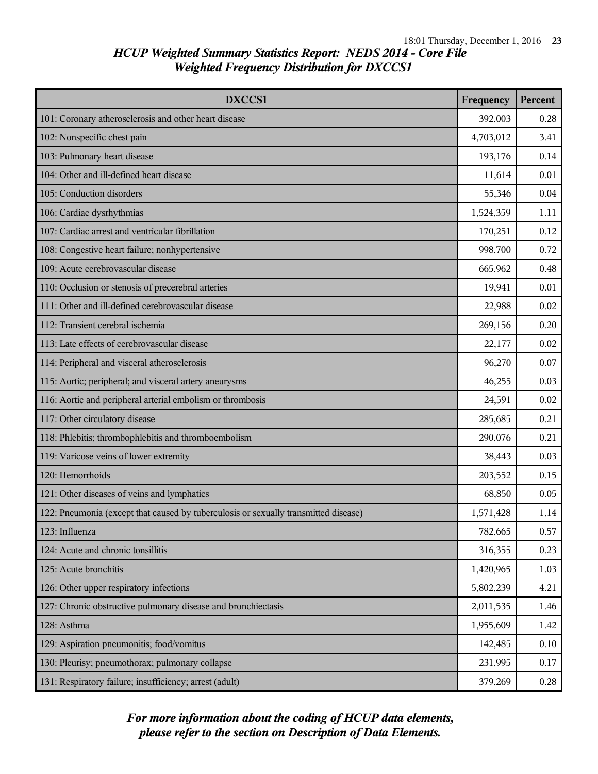| DXCCS1                                                                              | Frequency | Percent |
|-------------------------------------------------------------------------------------|-----------|---------|
| 101: Coronary atherosclerosis and other heart disease                               | 392,003   | 0.28    |
| 102: Nonspecific chest pain                                                         | 4,703,012 | 3.41    |
| 103: Pulmonary heart disease                                                        | 193,176   | 0.14    |
| 104: Other and ill-defined heart disease                                            | 11,614    | 0.01    |
| 105: Conduction disorders                                                           | 55,346    | 0.04    |
| 106: Cardiac dysrhythmias                                                           | 1,524,359 | 1.11    |
| 107: Cardiac arrest and ventricular fibrillation                                    | 170,251   | 0.12    |
| 108: Congestive heart failure; nonhypertensive                                      | 998,700   | 0.72    |
| 109: Acute cerebrovascular disease                                                  | 665,962   | 0.48    |
| 110: Occlusion or stenosis of precerebral arteries                                  | 19,941    | 0.01    |
| 111: Other and ill-defined cerebrovascular disease                                  | 22,988    | 0.02    |
| 112: Transient cerebral ischemia                                                    | 269,156   | 0.20    |
| 113: Late effects of cerebrovascular disease                                        | 22,177    | 0.02    |
| 114: Peripheral and visceral atherosclerosis                                        | 96,270    | 0.07    |
| 115: Aortic; peripheral; and visceral artery aneurysms                              | 46,255    | 0.03    |
| 116: Aortic and peripheral arterial embolism or thrombosis                          | 24,591    | 0.02    |
| 117: Other circulatory disease                                                      | 285,685   | 0.21    |
| 118: Phlebitis; thrombophlebitis and thromboembolism                                | 290,076   | 0.21    |
| 119: Varicose veins of lower extremity                                              | 38,443    | 0.03    |
| 120: Hemorrhoids                                                                    | 203,552   | 0.15    |
| 121: Other diseases of veins and lymphatics                                         | 68,850    | 0.05    |
| 122: Pneumonia (except that caused by tuberculosis or sexually transmitted disease) | 1,571,428 | 1.14    |
| 123: Influenza                                                                      | 782,665   | 0.57    |
| 124: Acute and chronic tonsillitis                                                  | 316,355   | 0.23    |
| 125: Acute bronchitis                                                               | 1,420,965 | 1.03    |
| 126: Other upper respiratory infections                                             | 5,802,239 | 4.21    |
| 127: Chronic obstructive pulmonary disease and bronchiectasis                       | 2,011,535 | 1.46    |
| 128: Asthma                                                                         | 1,955,609 | 1.42    |
| 129: Aspiration pneumonitis; food/vomitus                                           | 142,485   | 0.10    |
| 130: Pleurisy; pneumothorax; pulmonary collapse                                     | 231,995   | 0.17    |
| 131: Respiratory failure; insufficiency; arrest (adult)                             | 379,269   | 0.28    |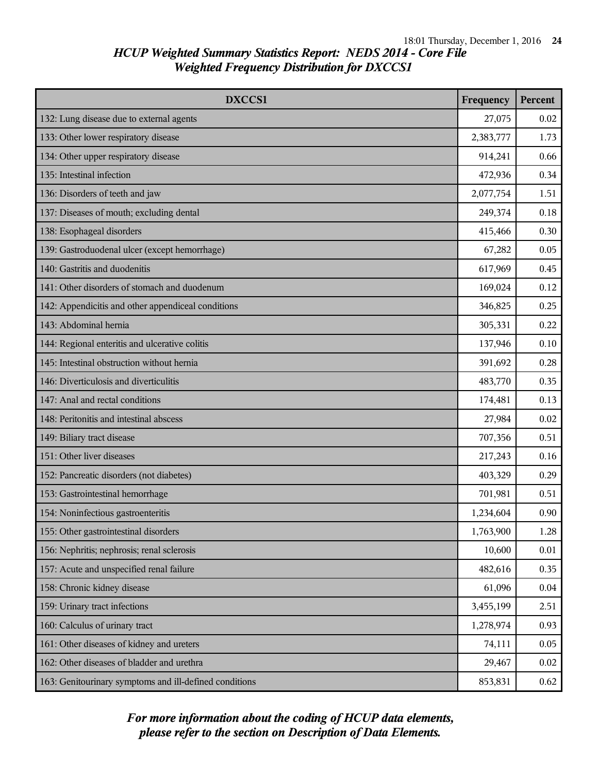| DXCCS1                                                 | Frequency | Percent |
|--------------------------------------------------------|-----------|---------|
| 132: Lung disease due to external agents               | 27,075    | 0.02    |
| 133: Other lower respiratory disease                   | 2,383,777 | 1.73    |
| 134: Other upper respiratory disease                   | 914,241   | 0.66    |
| 135: Intestinal infection                              | 472,936   | 0.34    |
| 136: Disorders of teeth and jaw                        | 2,077,754 | 1.51    |
| 137: Diseases of mouth; excluding dental               | 249,374   | 0.18    |
| 138: Esophageal disorders                              | 415,466   | 0.30    |
| 139: Gastroduodenal ulcer (except hemorrhage)          | 67,282    | 0.05    |
| 140: Gastritis and duodenitis                          | 617,969   | 0.45    |
| 141: Other disorders of stomach and duodenum           | 169,024   | 0.12    |
| 142: Appendicitis and other appendiceal conditions     | 346,825   | 0.25    |
| 143: Abdominal hernia                                  | 305,331   | 0.22    |
| 144: Regional enteritis and ulcerative colitis         | 137,946   | 0.10    |
| 145: Intestinal obstruction without hernia             | 391,692   | 0.28    |
| 146: Diverticulosis and diverticulitis                 | 483,770   | 0.35    |
| 147: Anal and rectal conditions                        | 174,481   | 0.13    |
| 148: Peritonitis and intestinal abscess                | 27,984    | 0.02    |
| 149: Biliary tract disease                             | 707,356   | 0.51    |
| 151: Other liver diseases                              | 217,243   | 0.16    |
| 152: Pancreatic disorders (not diabetes)               | 403,329   | 0.29    |
| 153: Gastrointestinal hemorrhage                       | 701,981   | 0.51    |
| 154: Noninfectious gastroenteritis                     | 1,234,604 | 0.90    |
| 155: Other gastrointestinal disorders                  | 1,763,900 | 1.28    |
| 156: Nephritis; nephrosis; renal sclerosis             | 10,600    | 0.01    |
| 157: Acute and unspecified renal failure               | 482,616   | 0.35    |
| 158: Chronic kidney disease                            | 61,096    | 0.04    |
| 159: Urinary tract infections                          | 3,455,199 | 2.51    |
| 160: Calculus of urinary tract                         | 1,278,974 | 0.93    |
| 161: Other diseases of kidney and ureters              | 74,111    | 0.05    |
| 162: Other diseases of bladder and urethra             | 29,467    | 0.02    |
| 163: Genitourinary symptoms and ill-defined conditions | 853,831   | 0.62    |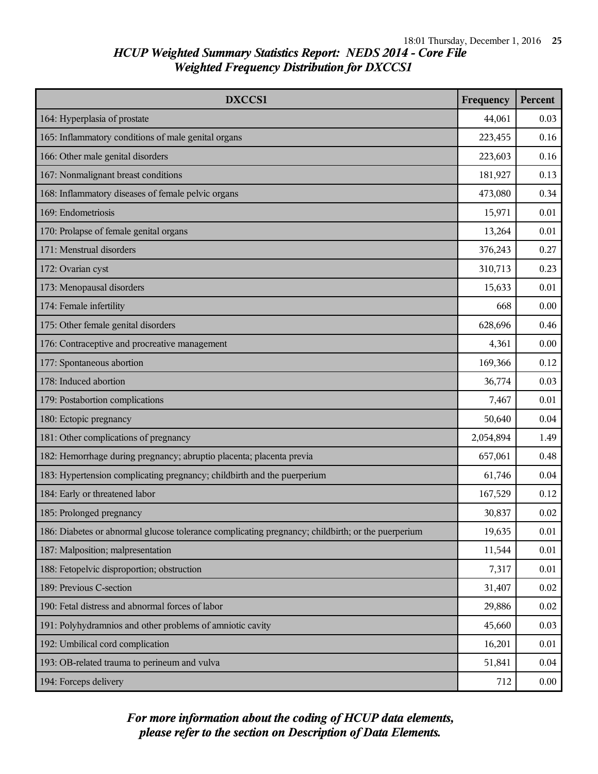| DXCCS1                                                                                            |           | <b>Percent</b> |
|---------------------------------------------------------------------------------------------------|-----------|----------------|
| 164: Hyperplasia of prostate                                                                      | 44,061    | 0.03           |
| 165: Inflammatory conditions of male genital organs                                               | 223,455   | 0.16           |
| 166: Other male genital disorders                                                                 | 223,603   | 0.16           |
| 167: Nonmalignant breast conditions                                                               | 181,927   | 0.13           |
| 168: Inflammatory diseases of female pelvic organs                                                | 473,080   | 0.34           |
| 169: Endometriosis                                                                                | 15,971    | 0.01           |
| 170: Prolapse of female genital organs                                                            | 13,264    | 0.01           |
| 171: Menstrual disorders                                                                          | 376,243   | 0.27           |
| 172: Ovarian cyst                                                                                 | 310,713   | 0.23           |
| 173: Menopausal disorders                                                                         | 15,633    | 0.01           |
| 174: Female infertility                                                                           | 668       | 0.00           |
| 175: Other female genital disorders                                                               | 628,696   | 0.46           |
| 176: Contraceptive and procreative management                                                     | 4,361     | 0.00           |
| 177: Spontaneous abortion                                                                         | 169,366   | 0.12           |
| 178: Induced abortion                                                                             |           | 0.03           |
| 179: Postabortion complications                                                                   |           | 0.01           |
| 180: Ectopic pregnancy                                                                            | 50,640    | 0.04           |
| 181: Other complications of pregnancy                                                             | 2,054,894 | 1.49           |
| 182: Hemorrhage during pregnancy; abruptio placenta; placenta previa                              | 657,061   | 0.48           |
| 183: Hypertension complicating pregnancy; childbirth and the puerperium                           | 61,746    | 0.04           |
| 184: Early or threatened labor                                                                    | 167,529   | 0.12           |
| 185: Prolonged pregnancy                                                                          | 30,837    | 0.02           |
| 186: Diabetes or abnormal glucose tolerance complicating pregnancy; childbirth; or the puerperium | 19,635    | 0.01           |
| 187: Malposition; malpresentation                                                                 | 11,544    | 0.01           |
| 188: Fetopelvic disproportion; obstruction                                                        | 7,317     | 0.01           |
| 189: Previous C-section                                                                           | 31,407    | 0.02           |
| 190: Fetal distress and abnormal forces of labor                                                  | 29,886    | 0.02           |
| 191: Polyhydramnios and other problems of amniotic cavity                                         | 45,660    | 0.03           |
| 192: Umbilical cord complication                                                                  | 16,201    | 0.01           |
| 193: OB-related trauma to perineum and vulva                                                      | 51,841    | 0.04           |
| 194: Forceps delivery                                                                             | 712       | 0.00           |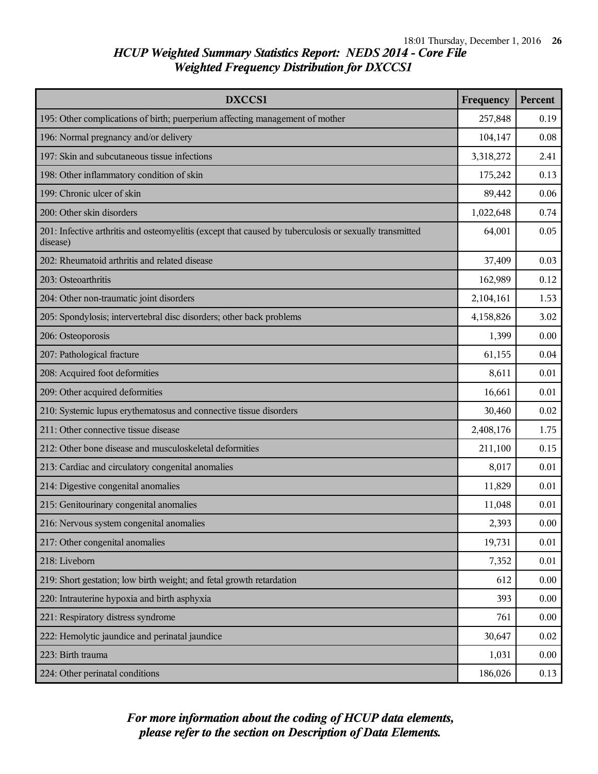| <b>DXCCS1</b>                                                                                                      | Frequency | <b>Percent</b> |
|--------------------------------------------------------------------------------------------------------------------|-----------|----------------|
| 195: Other complications of birth; puerperium affecting management of mother                                       | 257,848   | 0.19           |
| 196: Normal pregnancy and/or delivery                                                                              | 104,147   | 0.08           |
| 197: Skin and subcutaneous tissue infections                                                                       | 3,318,272 | 2.41           |
| 198: Other inflammatory condition of skin                                                                          | 175,242   | 0.13           |
| 199: Chronic ulcer of skin                                                                                         | 89,442    | 0.06           |
| 200: Other skin disorders                                                                                          | 1,022,648 | 0.74           |
| 201: Infective arthritis and osteomyelitis (except that caused by tuberculosis or sexually transmitted<br>disease) | 64,001    | 0.05           |
| 202: Rheumatoid arthritis and related disease                                                                      | 37,409    | 0.03           |
| 203: Osteoarthritis                                                                                                | 162,989   | 0.12           |
| 204: Other non-traumatic joint disorders                                                                           | 2,104,161 | 1.53           |
| 205: Spondylosis; intervertebral disc disorders; other back problems                                               | 4,158,826 | 3.02           |
| 206: Osteoporosis                                                                                                  | 1,399     | 0.00           |
| 207: Pathological fracture                                                                                         | 61,155    | 0.04           |
| 208: Acquired foot deformities                                                                                     | 8,611     | 0.01           |
| 209: Other acquired deformities                                                                                    | 16,661    | 0.01           |
| 210: Systemic lupus erythematosus and connective tissue disorders                                                  | 30,460    | 0.02           |
| 211: Other connective tissue disease                                                                               | 2,408,176 | 1.75           |
| 212: Other bone disease and musculoskeletal deformities                                                            | 211,100   | 0.15           |
| 213: Cardiac and circulatory congenital anomalies                                                                  | 8,017     | 0.01           |
| 214: Digestive congenital anomalies                                                                                | 11,829    | 0.01           |
| 215: Genitourinary congenital anomalies                                                                            | 11,048    | 0.01           |
| 216: Nervous system congenital anomalies                                                                           | 2,393     | 0.00           |
| 217: Other congenital anomalies                                                                                    | 19,731    | 0.01           |
| 218: Liveborn                                                                                                      | 7,352     | 0.01           |
| 219: Short gestation; low birth weight; and fetal growth retardation                                               | 612       | 0.00           |
| 220: Intrauterine hypoxia and birth asphyxia                                                                       | 393       | 0.00           |
| 221: Respiratory distress syndrome                                                                                 | 761       | 0.00           |
| 222: Hemolytic jaundice and perinatal jaundice                                                                     | 30,647    | 0.02           |
| 223: Birth trauma                                                                                                  | 1,031     | 0.00           |
| 224: Other perinatal conditions                                                                                    | 186,026   | 0.13           |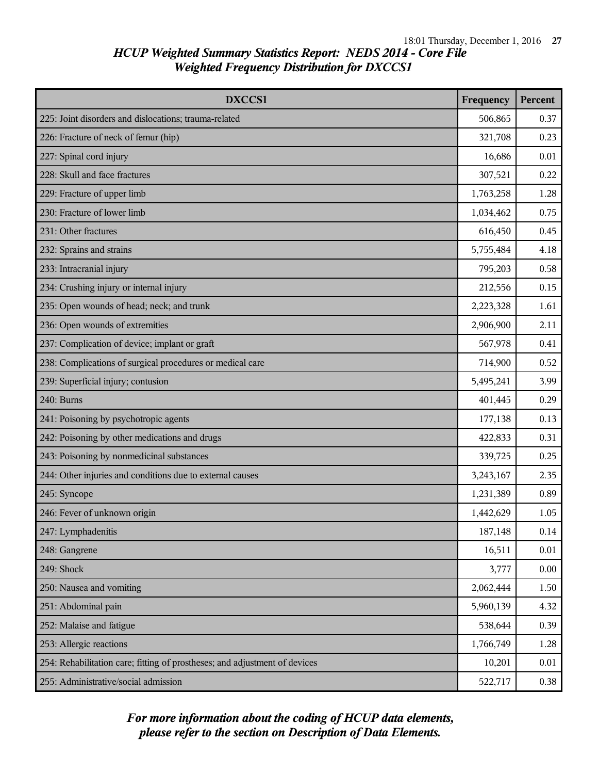| DXCCS1                                                                     | Frequency | Percent |
|----------------------------------------------------------------------------|-----------|---------|
| 225: Joint disorders and dislocations; trauma-related                      | 506,865   | 0.37    |
| 226: Fracture of neck of femur (hip)                                       | 321,708   | 0.23    |
| 227: Spinal cord injury                                                    | 16,686    | 0.01    |
| 228: Skull and face fractures                                              | 307,521   | 0.22    |
| 229: Fracture of upper limb                                                | 1,763,258 | 1.28    |
| 230: Fracture of lower limb                                                | 1,034,462 | 0.75    |
| 231: Other fractures                                                       | 616,450   | 0.45    |
| 232: Sprains and strains                                                   | 5,755,484 | 4.18    |
| 233: Intracranial injury                                                   | 795,203   | 0.58    |
| 234: Crushing injury or internal injury                                    | 212,556   | 0.15    |
| 235: Open wounds of head; neck; and trunk                                  | 2,223,328 | 1.61    |
| 236: Open wounds of extremities                                            | 2,906,900 | 2.11    |
| 237: Complication of device; implant or graft                              | 567,978   | 0.41    |
| 238: Complications of surgical procedures or medical care                  | 714,900   | 0.52    |
| 239: Superficial injury; contusion                                         | 5,495,241 | 3.99    |
| 240: Burns                                                                 |           | 0.29    |
| 241: Poisoning by psychotropic agents                                      | 177,138   | 0.13    |
| 242: Poisoning by other medications and drugs                              | 422,833   | 0.31    |
| 243: Poisoning by nonmedicinal substances                                  | 339,725   | 0.25    |
| 244: Other injuries and conditions due to external causes                  | 3,243,167 | 2.35    |
| 245: Syncope                                                               | 1,231,389 | 0.89    |
| 246: Fever of unknown origin                                               | 1,442,629 | 1.05    |
| 247: Lymphadenitis                                                         | 187,148   | 0.14    |
| 248: Gangrene                                                              | 16,511    | 0.01    |
| 249: Shock                                                                 | 3,777     | 0.00    |
| 250: Nausea and vomiting                                                   | 2,062,444 | 1.50    |
| 251: Abdominal pain                                                        | 5,960,139 | 4.32    |
| 252: Malaise and fatigue                                                   | 538,644   | 0.39    |
| 253: Allergic reactions                                                    | 1,766,749 | 1.28    |
| 254: Rehabilitation care; fitting of prostheses; and adjustment of devices | 10,201    | 0.01    |
| 255: Administrative/social admission                                       | 522,717   | 0.38    |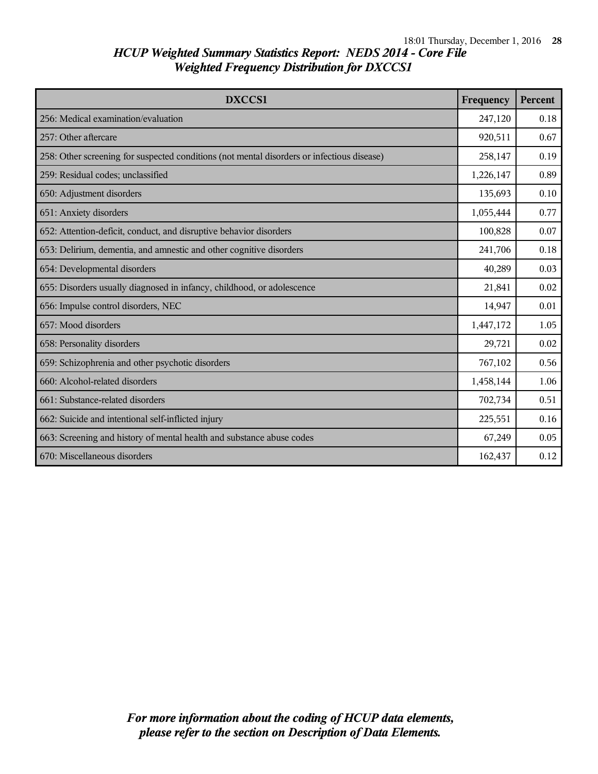| <b>DXCCS1</b>                                                                              | Frequency | Percent |
|--------------------------------------------------------------------------------------------|-----------|---------|
| 256: Medical examination/evaluation                                                        | 247,120   | 0.18    |
| 257: Other aftercare                                                                       | 920,511   | 0.67    |
| 258: Other screening for suspected conditions (not mental disorders or infectious disease) | 258,147   | 0.19    |
| 259: Residual codes; unclassified                                                          | 1,226,147 | 0.89    |
| 650: Adjustment disorders                                                                  | 135,693   | 0.10    |
| 651: Anxiety disorders                                                                     | 1,055,444 | 0.77    |
| 652: Attention-deficit, conduct, and disruptive behavior disorders                         | 100,828   | 0.07    |
| 653: Delirium, dementia, and amnestic and other cognitive disorders                        |           | 0.18    |
| 654: Developmental disorders                                                               |           | 0.03    |
| 655: Disorders usually diagnosed in infancy, childhood, or adolescence                     |           | 0.02    |
| 656: Impulse control disorders, NEC                                                        |           | 0.01    |
| 657: Mood disorders                                                                        |           | 1.05    |
| 658: Personality disorders                                                                 | 29,721    | 0.02    |
| 659: Schizophrenia and other psychotic disorders                                           | 767,102   | 0.56    |
| 660: Alcohol-related disorders                                                             |           | 1.06    |
| 661: Substance-related disorders                                                           |           | 0.51    |
| 662: Suicide and intentional self-inflicted injury                                         |           | 0.16    |
| 663: Screening and history of mental health and substance abuse codes                      | 67,249    | 0.05    |
| 670: Miscellaneous disorders                                                               | 162,437   | 0.12    |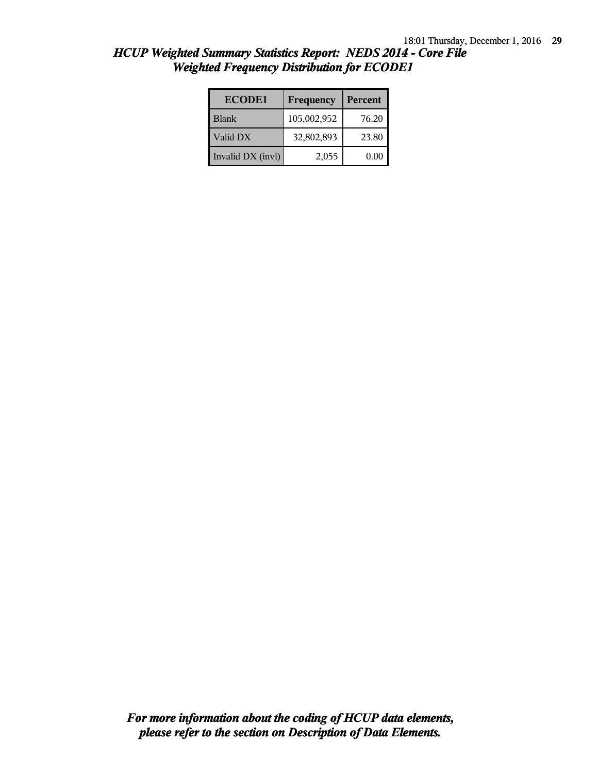| <b>ECODE1</b>     | Frequency   | Percent |
|-------------------|-------------|---------|
| <b>Blank</b>      | 105,002,952 | 76.20   |
| Valid DX          | 32,802,893  | 23.80   |
| Invalid DX (invl) | 2,055       | 0.00    |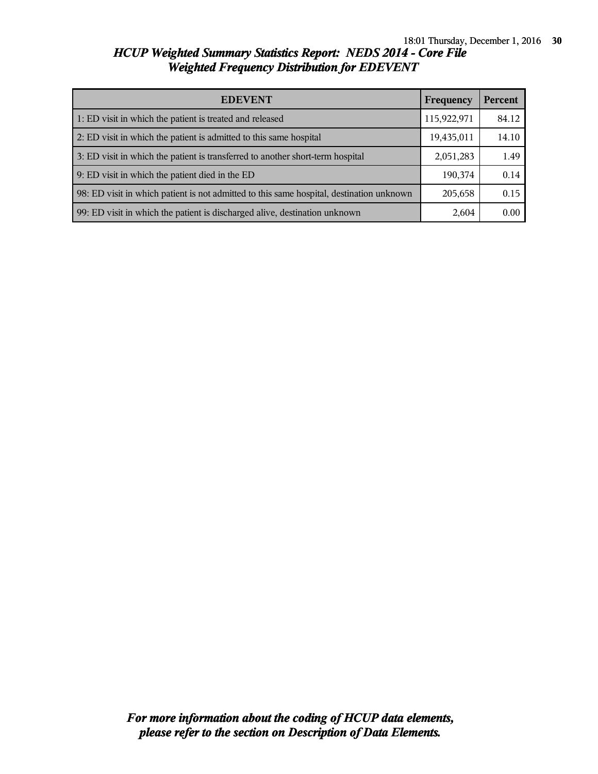| <b>EDEVENT</b>                                                                           |            | <b>Percent</b> |
|------------------------------------------------------------------------------------------|------------|----------------|
| 1: ED visit in which the patient is treated and released                                 |            | 84.12          |
| 2: ED visit in which the patient is admitted to this same hospital                       | 19,435,011 | 14.10          |
| 3: ED visit in which the patient is transferred to another short-term hospital           | 2,051,283  | 1.49           |
| 9: ED visit in which the patient died in the ED                                          | 190,374    | 0.14           |
| 98: ED visit in which patient is not admitted to this same hospital, destination unknown | 205,658    | 0.15           |
| 99: ED visit in which the patient is discharged alive, destination unknown               | 2,604      | 0.00           |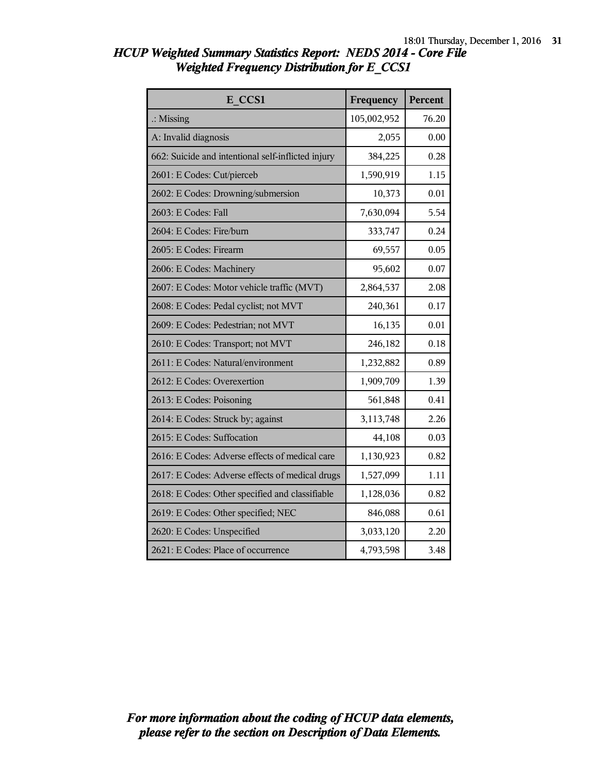| E CCS1                                             | Frequency   | <b>Percent</b> |
|----------------------------------------------------|-------------|----------------|
| $\therefore$ Missing                               | 105,002,952 | 76.20          |
| A: Invalid diagnosis                               | 2,055       | 0.00           |
| 662: Suicide and intentional self-inflicted injury | 384,225     | 0.28           |
| 2601: E Codes: Cut/pierceb                         | 1,590,919   | 1.15           |
| 2602: E Codes: Drowning/submersion                 | 10,373      | 0.01           |
| 2603: E Codes: Fall                                | 7,630,094   | 5.54           |
| 2604: E Codes: Fire/burn                           | 333,747     | 0.24           |
| 2605: E Codes: Firearm                             | 69,557      | 0.05           |
| 2606: E Codes: Machinery                           | 95,602      | 0.07           |
| 2607: E Codes: Motor vehicle traffic (MVT)         | 2,864,537   | 2.08           |
| 2608: E Codes: Pedal cyclist; not MVT              | 240,361     | 0.17           |
| 2609: E Codes: Pedestrian; not MVT                 | 16,135      | 0.01           |
| 2610: E Codes: Transport; not MVT                  | 246,182     | 0.18           |
| 2611: E Codes: Natural/environment                 | 1,232,882   | 0.89           |
| 2612: E Codes: Overexertion                        | 1,909,709   | 1.39           |
| 2613: E Codes: Poisoning                           | 561,848     | 0.41           |
| 2614: E Codes: Struck by; against                  | 3,113,748   | 2.26           |
| 2615: E Codes: Suffocation                         | 44,108      | 0.03           |
| 2616: E Codes: Adverse effects of medical care     | 1,130,923   | 0.82           |
| 2617: E Codes: Adverse effects of medical drugs    | 1,527,099   | 1.11           |
| 2618: E Codes: Other specified and classifiable    | 1,128,036   | 0.82           |
| 2619: E Codes: Other specified; NEC                | 846,088     | 0.61           |
| 2620: E Codes: Unspecified                         | 3,033,120   | 2.20           |
| 2621: E Codes: Place of occurrence                 | 4,793,598   | 3.48           |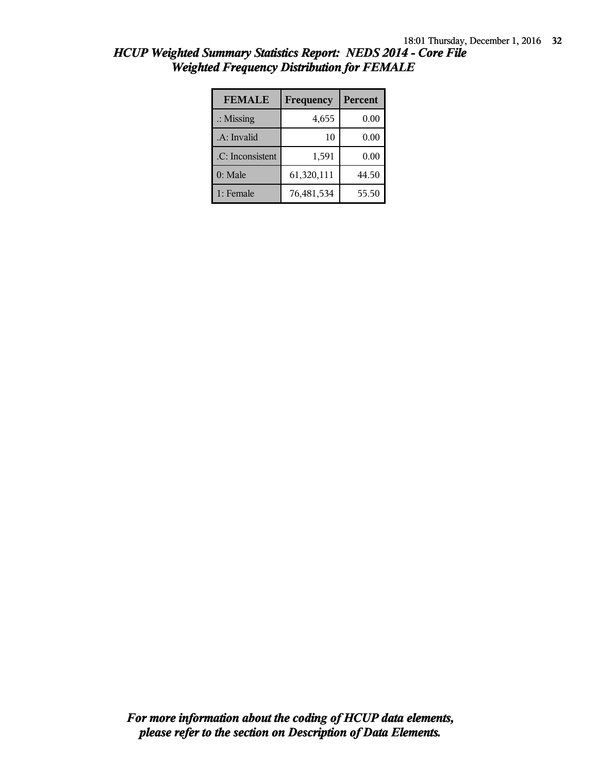| <b>FEMALE</b>        | Frequency  | Percent |
|----------------------|------------|---------|
| $\therefore$ Missing | 4,655      | 0.00    |
| .A: Invalid          | 10         | 0.00    |
| .C: Inconsistent     | 1,591      | 0.00    |
| $0:$ Male            | 61,320,111 | 44.50   |
| 1: Female            | 76,481,534 | 55.50   |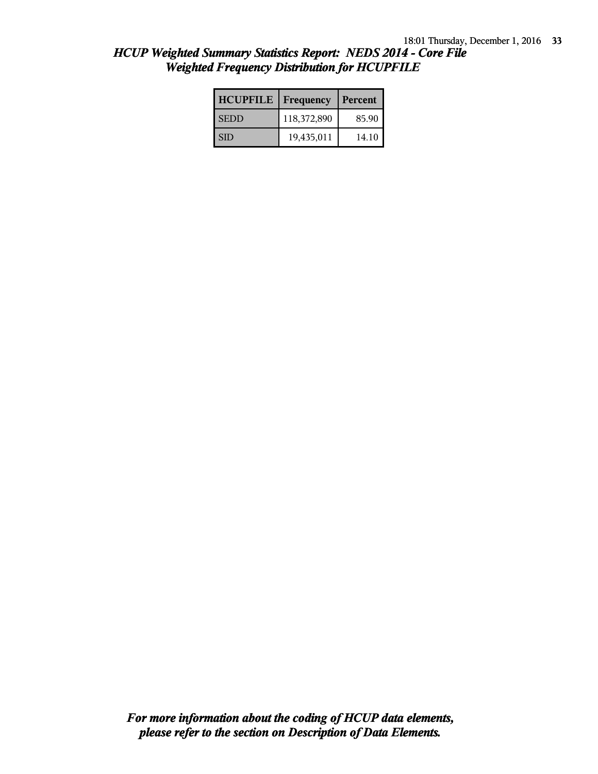| HCUP Weighted Summary Statistics Report: NEDS 2014 - Core File |  |
|----------------------------------------------------------------|--|
| <b>Weighted Frequency Distribution for HCUPFILE</b>            |  |

| <b>HCUPFILE</b> | Frequency   | Percent |
|-----------------|-------------|---------|
| <b>SEDD</b>     | 118,372,890 | 85.90   |
| SID             | 19,435,011  | 14.10   |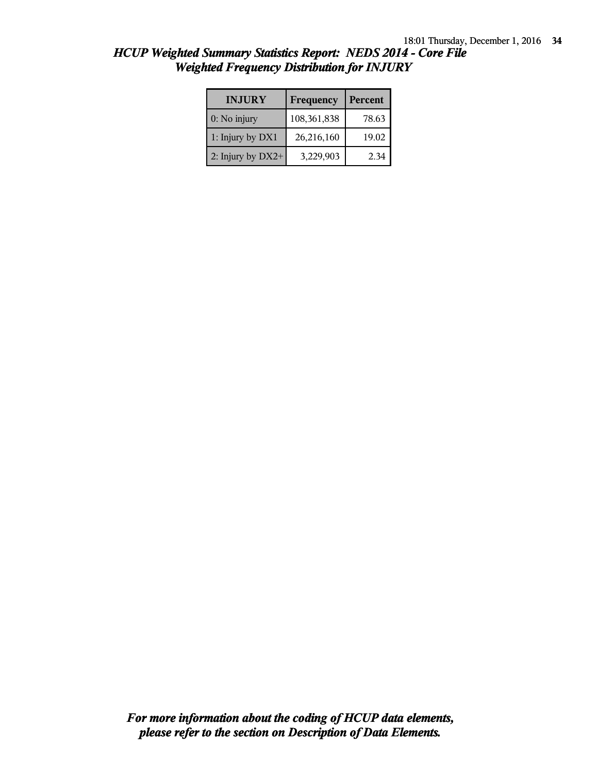| <b>INJURY</b>     | Frequency   | Percent |
|-------------------|-------------|---------|
| $0:$ No injury    | 108,361,838 | 78.63   |
| 1: Injury by DX1  | 26,216,160  | 19.02   |
| 2: Injury by DX2+ | 3,229,903   | 2.34    |

*HCUP Weighted Summary Statistics Report: NEDS 2014 - Core File Weighted Frequency Distribution for INJURY*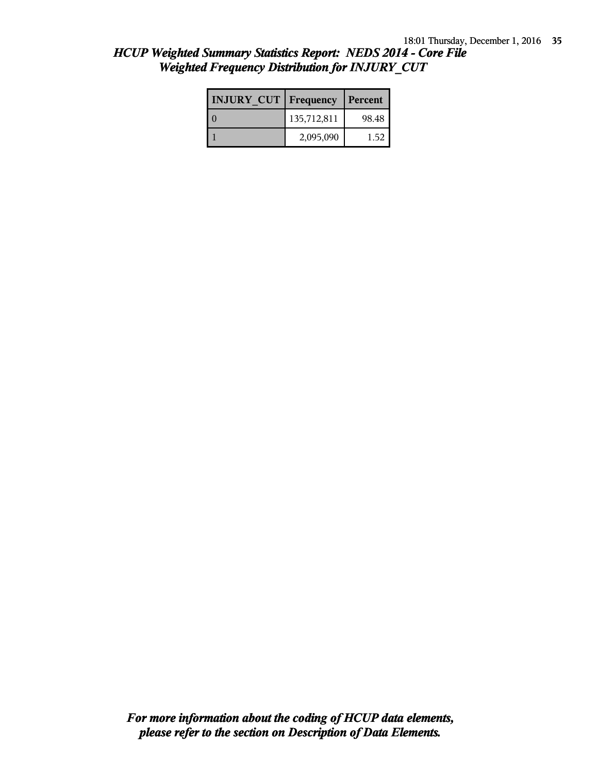| <b>INJURY CUT   Frequency</b> |             | Percent |
|-------------------------------|-------------|---------|
|                               | 135,712,811 | 98.48   |
|                               | 2,095,090   | 1.52    |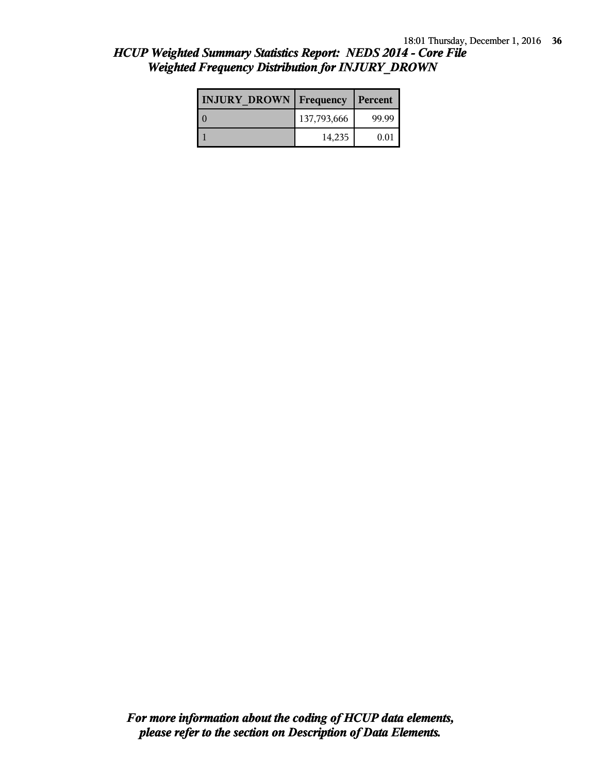| <b>INJURY DROWN Frequency</b> |             | Percent |
|-------------------------------|-------------|---------|
|                               | 137,793,666 | 99.99   |
|                               | 14,235      | 0.01    |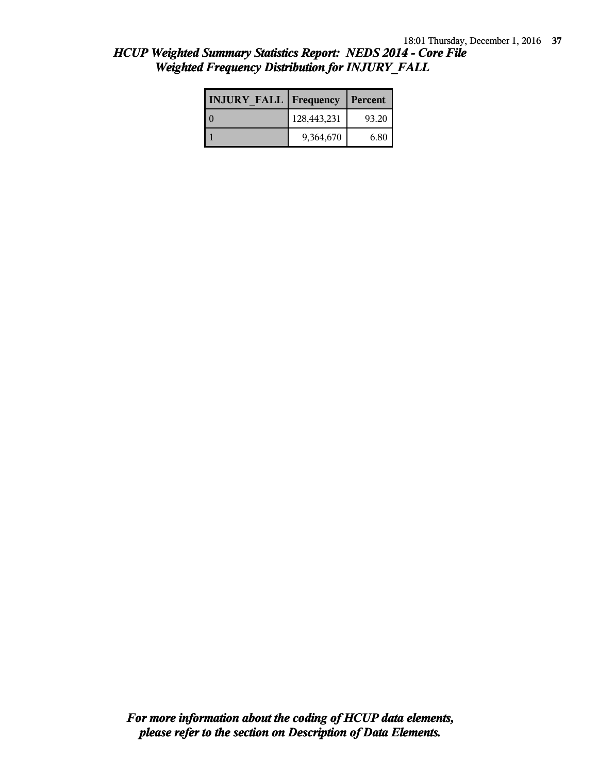| <b>INJURY FALL   Frequency</b> |             | Percent |
|--------------------------------|-------------|---------|
|                                | 128,443,231 | 93.20   |
|                                | 9,364,670   | 6.80    |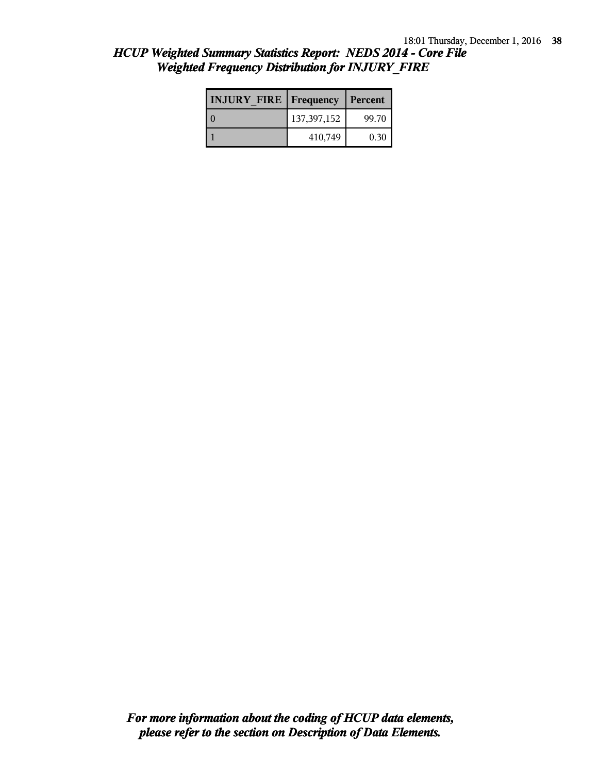| HCUP Weighted Summary Statistics Report: NEDS 2014 - Core File |  |
|----------------------------------------------------------------|--|
| <b>Weighted Frequency Distribution for INJURY FIRE</b>         |  |

| <b>INJURY FIRE   Frequency</b> |               | Percent |
|--------------------------------|---------------|---------|
|                                | 137, 397, 152 | 99.70   |
|                                | 410,749       | 0.30    |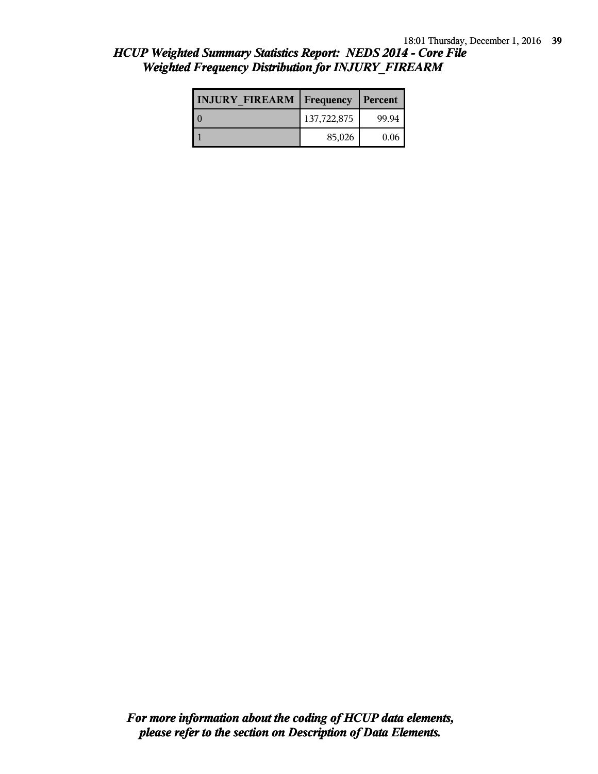| <b>INJURY FIREARM Frequency</b> |             | Percent |
|---------------------------------|-------------|---------|
| Lθ                              | 137,722,875 | 99.94   |
|                                 | 85,026      | 0.06    |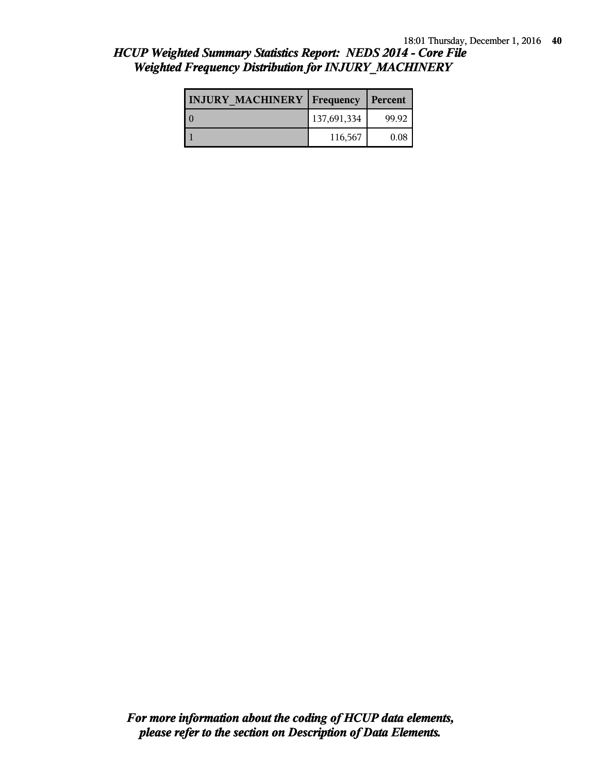| <b>INJURY MACHINERY   Frequency   Percent</b> |             |       |
|-----------------------------------------------|-------------|-------|
|                                               | 137,691,334 | 99.92 |
|                                               | 116,567     | 0.08  |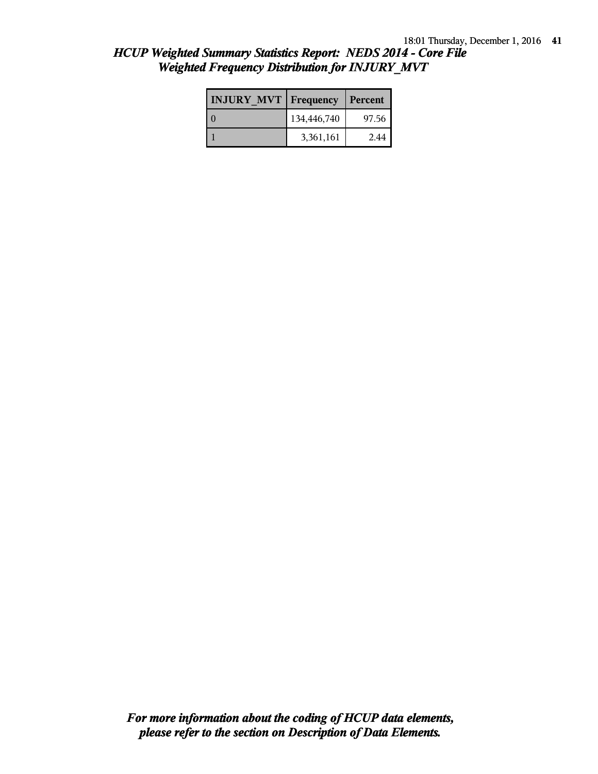| HCUP Weighted Summary Statistics Report: NEDS 2014 - Core File |  |
|----------------------------------------------------------------|--|
| <b>Weighted Frequency Distribution for INJURY MVT</b>          |  |

| <b>INJURY MVT   Frequency</b> |             | Percent |
|-------------------------------|-------------|---------|
|                               | 134,446,740 | 97.56   |
|                               | 3,361,161   | 2.44    |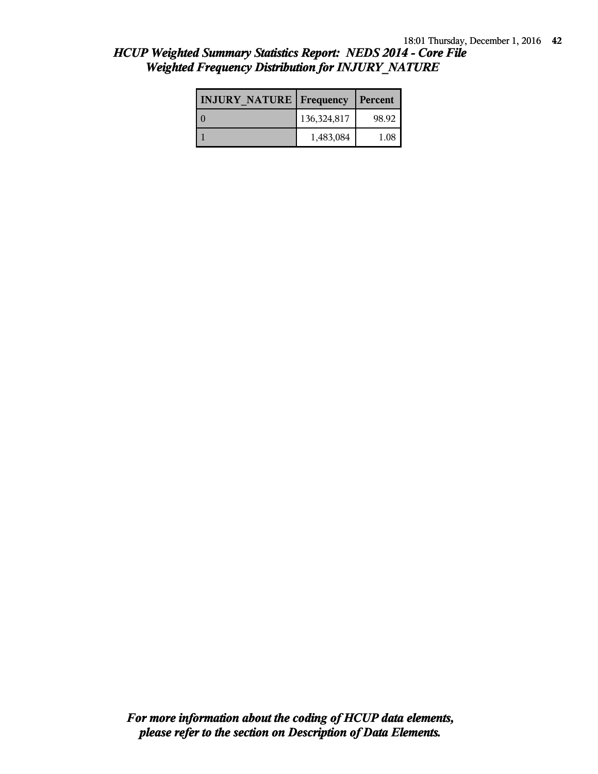| <b>INJURY NATURE Frequency</b> |             | Percent   |
|--------------------------------|-------------|-----------|
|                                | 136,324,817 | 98.92     |
|                                | 1,483,084   | $_{1.08}$ |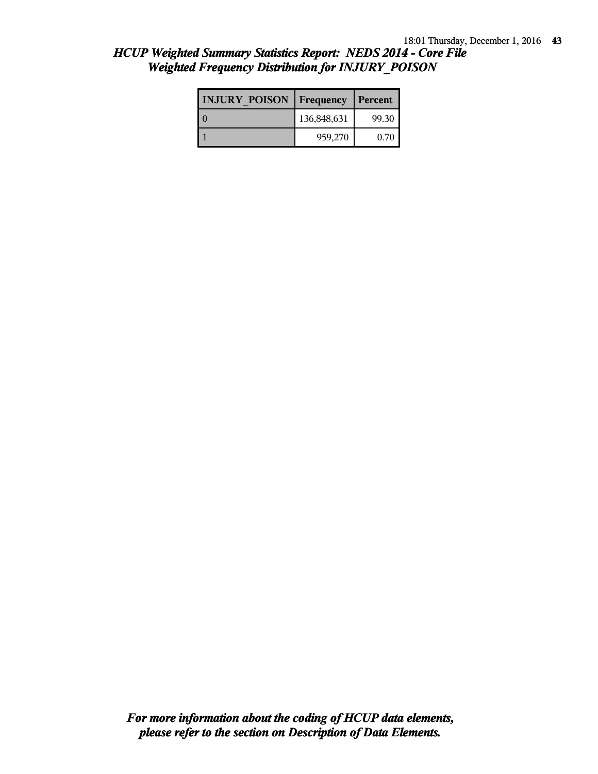| <b>INJURY POISON</b> | Frequency   | Percent |
|----------------------|-------------|---------|
|                      | 136,848,631 | 99.30   |
|                      | 959,270     | 0.70    |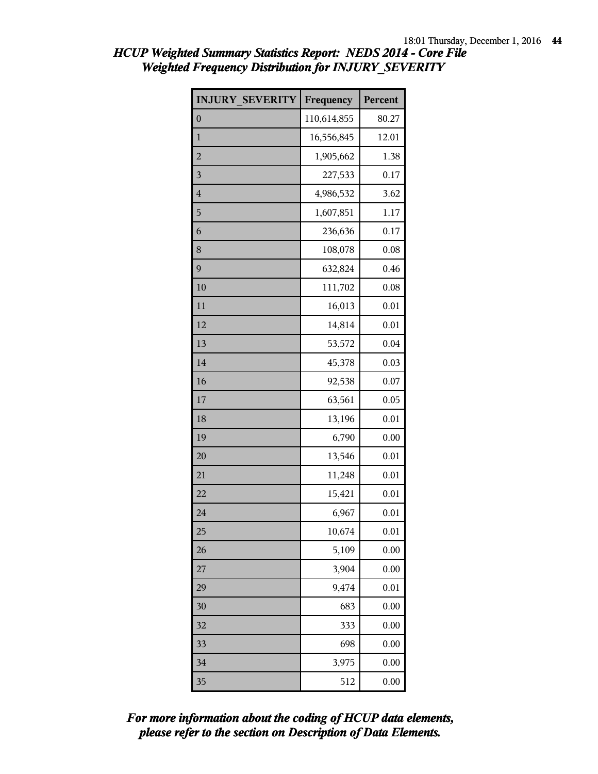| <b>INJURY SEVERITY</b> | Frequency   | Percent |
|------------------------|-------------|---------|
| $\boldsymbol{0}$       | 110,614,855 | 80.27   |
| $\mathbf{1}$           | 16,556,845  | 12.01   |
| $\overline{2}$         | 1,905,662   | 1.38    |
| 3                      | 227,533     | 0.17    |
| $\overline{4}$         | 4,986,532   | 3.62    |
| 5                      | 1,607,851   | 1.17    |
| 6                      | 236,636     | 0.17    |
| 8                      | 108,078     | 0.08    |
| 9                      | 632,824     | 0.46    |
| 10                     | 111,702     | 0.08    |
| 11                     | 16,013      | 0.01    |
| 12                     | 14,814      | 0.01    |
| 13                     | 53,572      | 0.04    |
| 14                     | 45,378      | 0.03    |
| 16                     | 92,538      | 0.07    |
| 17                     | 63,561      | 0.05    |
| 18                     | 13,196      | 0.01    |
| 19                     | 6,790       | 0.00    |
| 20                     | 13,546      | 0.01    |
| 21                     | 11,248      | 0.01    |
| 22                     | 15,421      | 0.01    |
| 24                     | 6,967       | 0.01    |
| 25                     | 10,674      | 0.01    |
| 26                     | 5,109       | 0.00    |
| 27                     | 3,904       | 0.00    |
| 29                     | 9,474       | 0.01    |
| 30                     | 683         | 0.00    |
| 32                     | 333         | 0.00    |
| 33                     | 698         | 0.00    |
| 34                     | 3,975       | 0.00    |
| 35                     | 512         | 0.00    |

*please refer to the section on Description of Data Elements. For more information about the coding of HCUP data elements,*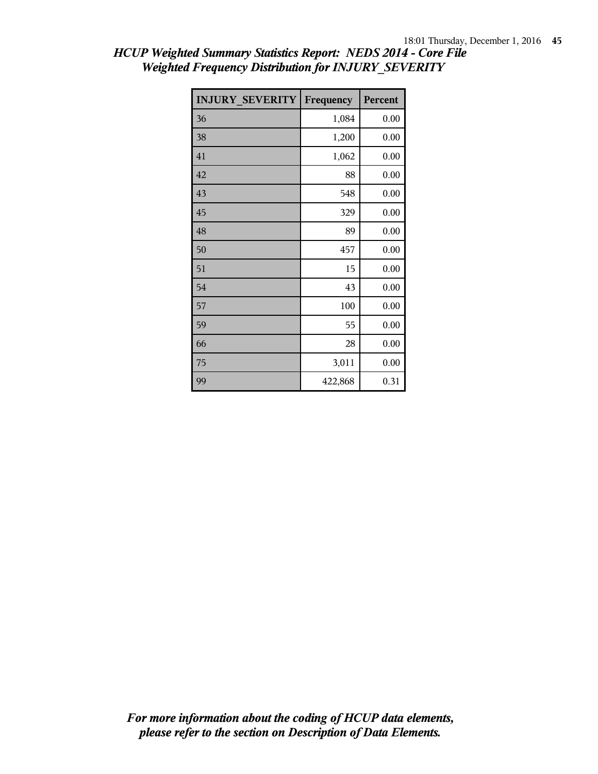| <b>INJURY SEVERITY</b> | Frequency | Percent |
|------------------------|-----------|---------|
| 36                     | 1,084     | 0.00    |
| 38                     | 1,200     | 0.00    |
| 41                     | 1,062     | 0.00    |
| 42                     | 88        | 0.00    |
| 43                     | 548       | 0.00    |
| 45                     | 329       | 0.00    |
| 48                     | 89        | 0.00    |
| 50                     | 457       | 0.00    |
| 51                     | 15        | 0.00    |
| 54                     | 43        | 0.00    |
| 57                     | 100       | 0.00    |
| 59                     | 55        | 0.00    |
| 66                     | 28        | 0.00    |
| 75                     | 3,011     | 0.00    |
| 99                     | 422,868   | 0.31    |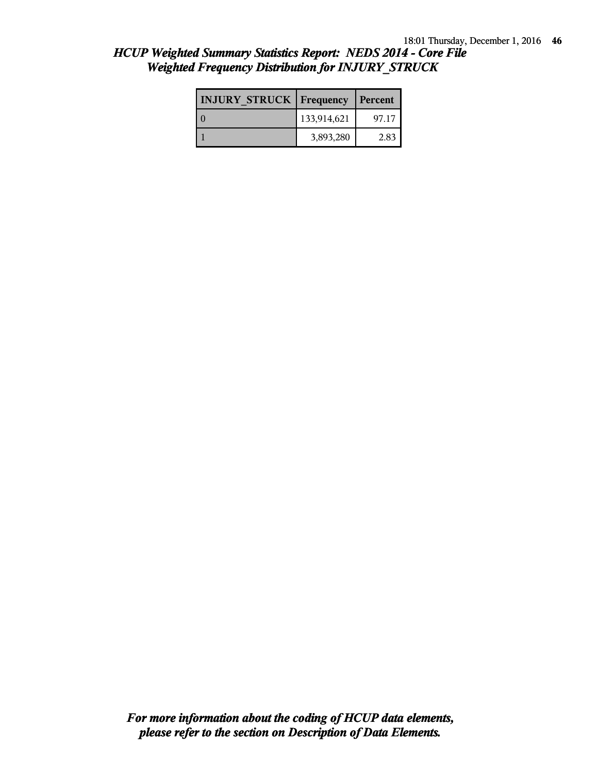| <b>INJURY STRUCK   Frequency</b> |             | Percent |
|----------------------------------|-------------|---------|
|                                  | 133,914,621 | 97.17   |
|                                  | 3,893,280   | 2.83    |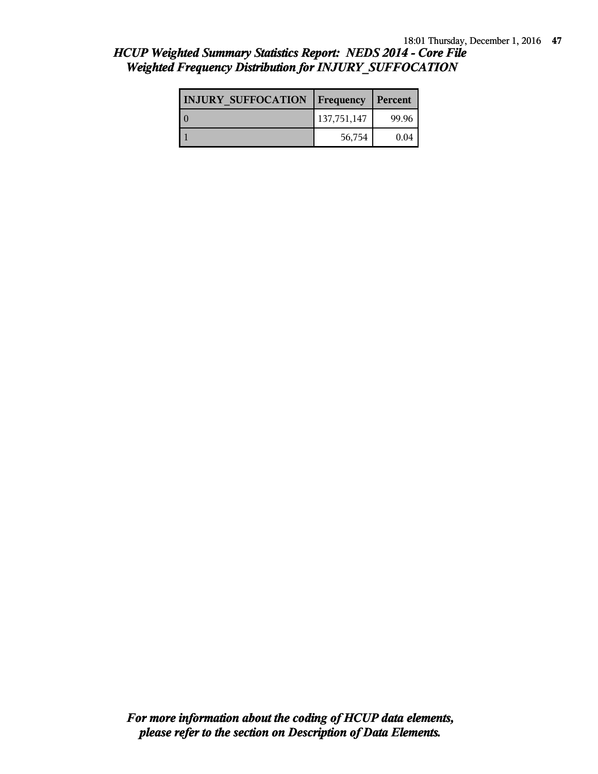| <b>HCUP Weighted Summary Statistics Report: NEDS 2014 - Core File</b> |  |
|-----------------------------------------------------------------------|--|
| <b>Weighted Frequency Distribution for INJURY_SUFFOCATION</b>         |  |

| <b>INJURY SUFFOCATION   Frequency</b> |             | Percent |
|---------------------------------------|-------------|---------|
| $\Omega$                              | 137,751,147 | 99.96   |
|                                       | 56,754      | 0.04    |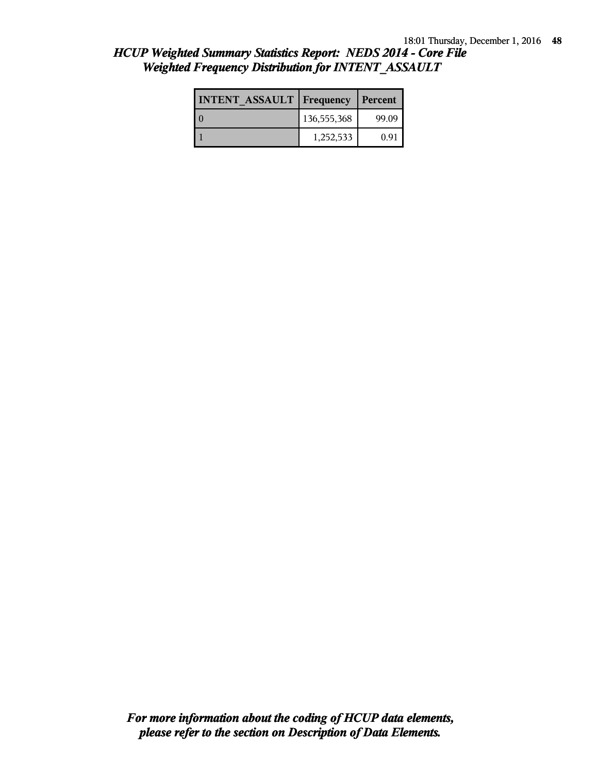| <b>INTENT ASSAULT Frequency</b> |             | Percent |
|---------------------------------|-------------|---------|
|                                 | 136,555,368 | 99.09   |
|                                 | 1,252,533   | 0.91    |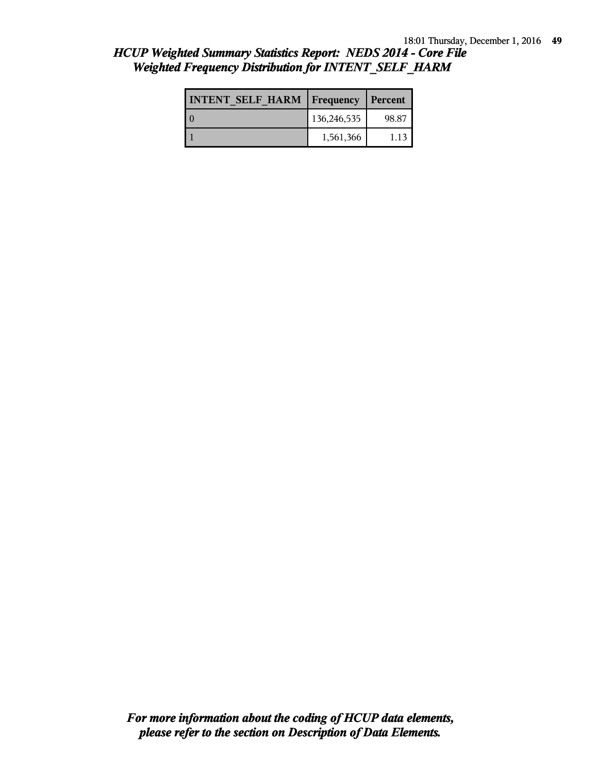| <b>INTENT SELF HARM   Frequency   Percent</b> |             |       |
|-----------------------------------------------|-------------|-------|
|                                               | 136,246,535 | 98.87 |
|                                               | 1,561,366   | 1.13  |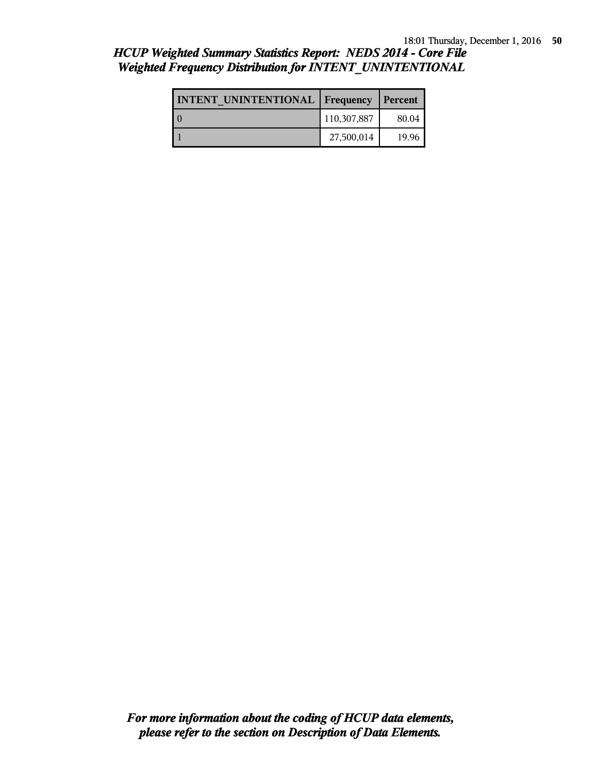### *HCUP Weighted Summary Statistics Report: NEDS 2014 - Core File Weighted Frequency Distribution for INTENT\_UNINTENTIONAL*

| <b>INTENT UNINTENTIONAL Frequency</b> |             | Percent |
|---------------------------------------|-------------|---------|
| O                                     | 110,307,887 | 80.04   |
|                                       | 27,500,014  | 19.96   |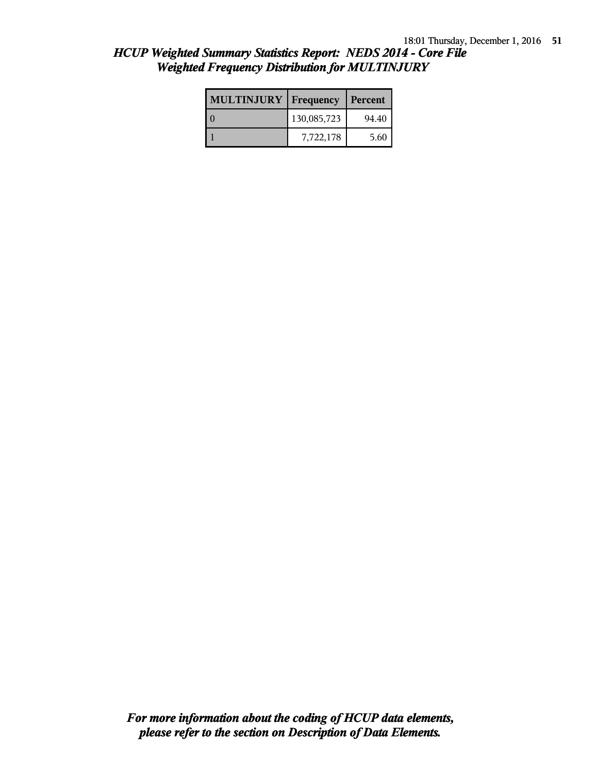| <b>MULTINJURY</b>   Frequency |             | Percent |
|-------------------------------|-------------|---------|
|                               | 130,085,723 | 94.40   |
|                               | 7,722,178   | 5.60    |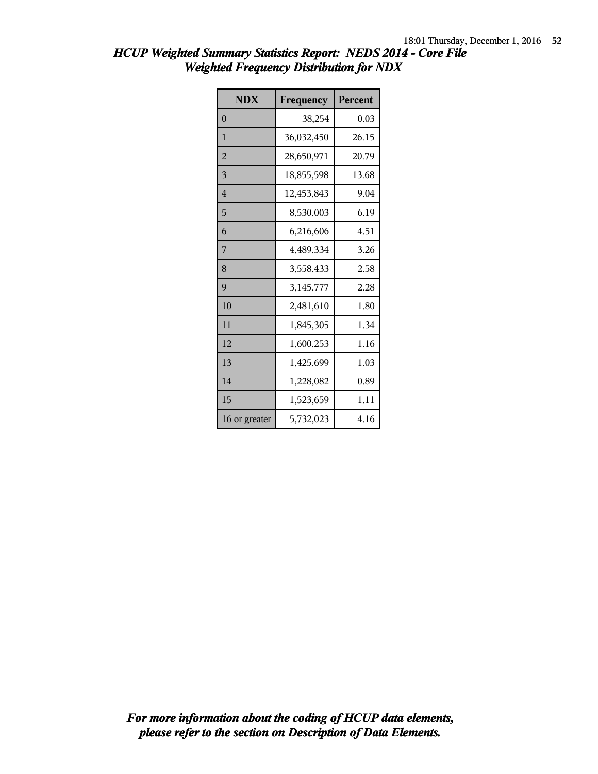| <b>NDX</b>     | Frequency  | Percent |
|----------------|------------|---------|
| $\overline{0}$ | 38,254     | 0.03    |
| $\mathbf{1}$   | 36,032,450 | 26.15   |
| $\overline{2}$ | 28,650,971 | 20.79   |
| 3              | 18,855,598 | 13.68   |
| $\overline{4}$ | 12,453,843 | 9.04    |
| 5              | 8,530,003  | 6.19    |
| 6              | 6,216,606  | 4.51    |
| 7              | 4,489,334  | 3.26    |
| 8              | 3,558,433  | 2.58    |
| 9              | 3,145,777  | 2.28    |
| 10             | 2,481,610  | 1.80    |
| 11             | 1,845,305  | 1.34    |
| 12             | 1,600,253  | 1.16    |
| 13             | 1,425,699  | 1.03    |
| 14             | 1,228,082  | 0.89    |
| 15             | 1,523,659  | 1.11    |
| 16 or greater  | 5,732,023  | 4.16    |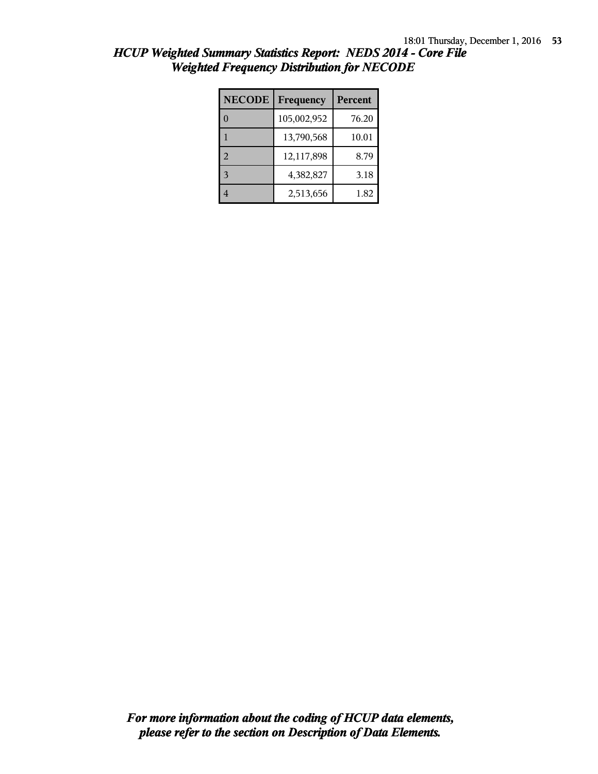| <b>NECODE</b>  | Frequency   | Percent |
|----------------|-------------|---------|
|                | 105,002,952 | 76.20   |
|                | 13,790,568  | 10.01   |
| $\overline{2}$ | 12,117,898  | 8.79    |
| $\mathbf{3}$   | 4,382,827   | 3.18    |
|                | 2,513,656   | 1.82    |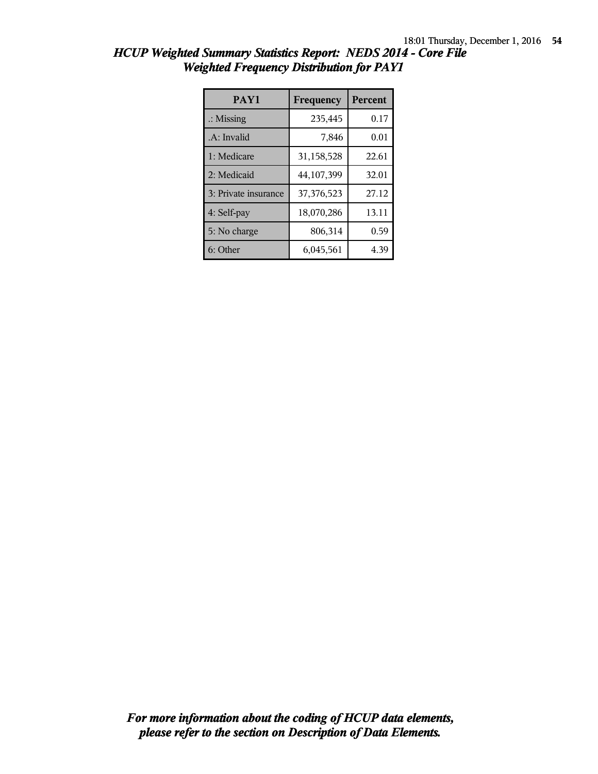| PAY1                 | Frequency  | <b>Percent</b> |
|----------------------|------------|----------------|
| $\therefore$ Missing | 235,445    | 0.17           |
| .A: Invalid          | 7,846      | 0.01           |
| 1: Medicare          | 31,158,528 | 22.61          |
| 2: Medicaid          | 44,107,399 | 32.01          |
| 3: Private insurance | 37,376,523 | 27.12          |
| 4: Self-pay          | 18,070,286 | 13.11          |
| 5: No charge         | 806,314    | 0.59           |
| 6: Other             | 6,045,561  | 4.39           |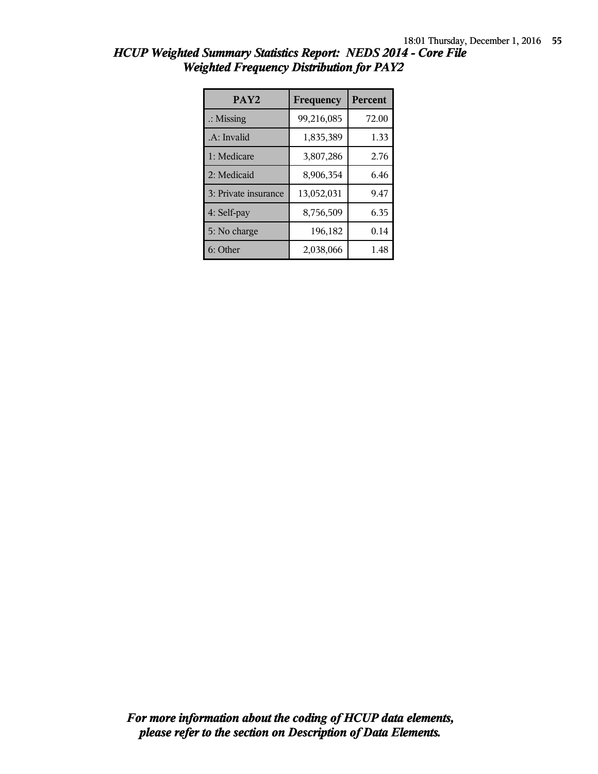| PAY <sub>2</sub>     | Frequency  | <b>Percent</b> |
|----------------------|------------|----------------|
| $\therefore$ Missing | 99,216,085 | 72.00          |
| .A: Invalid          | 1,835,389  | 1.33           |
| 1: Medicare          | 3,807,286  | 2.76           |
| 2: Medicaid          | 8,906,354  | 6.46           |
| 3: Private insurance | 13,052,031 | 9.47           |
| 4: Self-pay          | 8,756,509  | 6.35           |
| 5: No charge         | 196,182    | 0.14           |
| 6: Other             | 2,038,066  | 1.48           |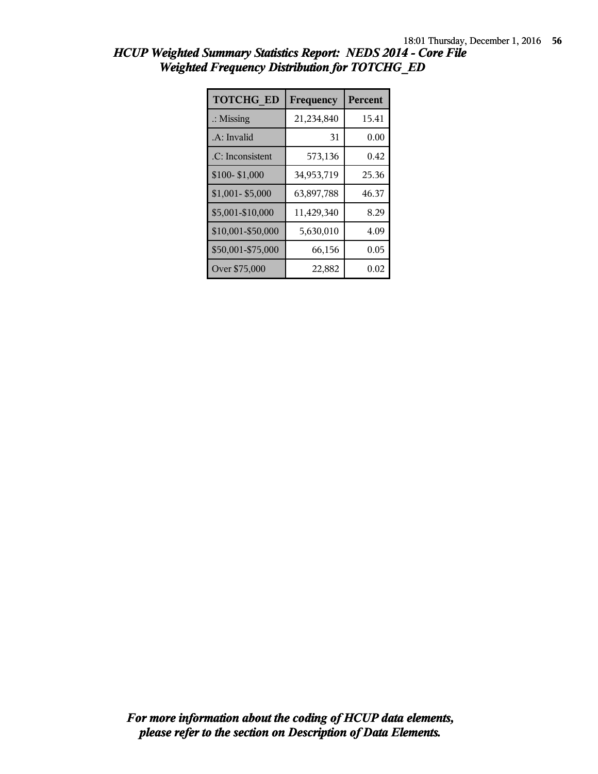| <b>TOTCHG ED</b>     | Frequency  | Percent |
|----------------------|------------|---------|
| $\therefore$ Missing | 21,234,840 | 15.41   |
| .A: Invalid          | 31         | 0.00    |
| .C: Inconsistent     | 573,136    | 0.42    |
| \$100-\$1,000        | 34,953,719 | 25.36   |
| \$1,001-\$5,000      | 63,897,788 | 46.37   |
| \$5,001-\$10,000     | 11,429,340 | 8.29    |
| \$10,001-\$50,000    | 5,630,010  | 4.09    |
| \$50,001-\$75,000    | 66,156     | 0.05    |
| Over \$75,000        | 22,882     | 0.02    |

| HCUP Weighted Summary Statistics Report: NEDS 2014 - Core File |  |
|----------------------------------------------------------------|--|
| <b>Weighted Frequency Distribution for TOTCHG ED</b>           |  |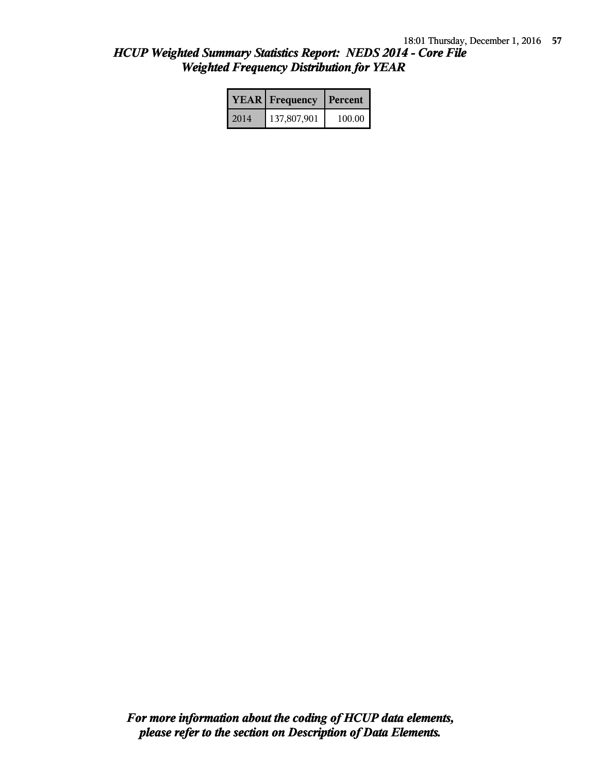|      | <b>YEAR</b> Frequency | Percent |  |
|------|-----------------------|---------|--|
| 2014 | 137,807,901           | 100.00  |  |